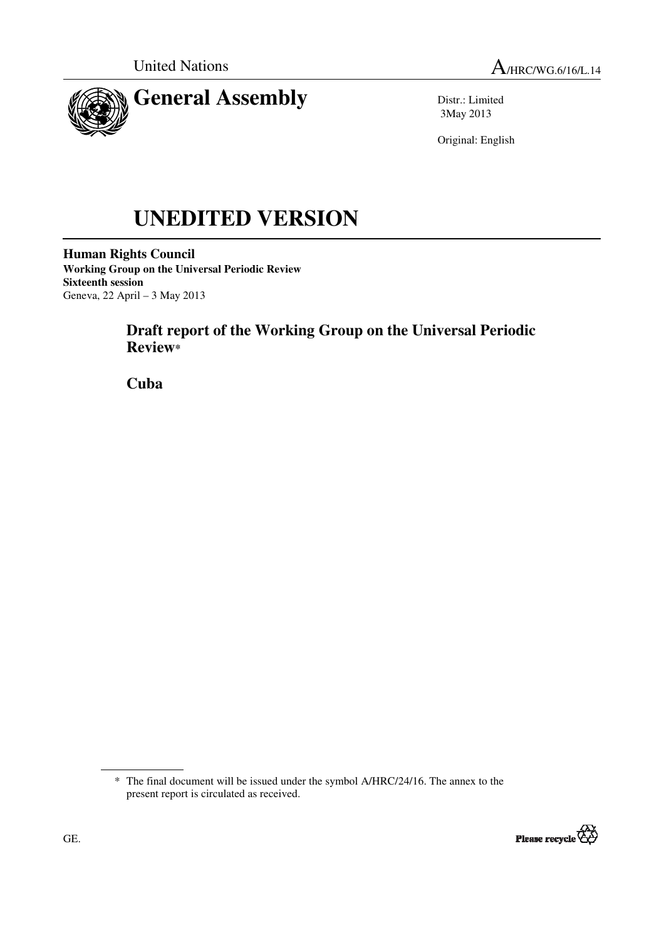



Distr.: Limited 3May 2013

Original: English

# **UNEDITED VERSION**

**Human Rights Council Working Group on the Universal Periodic Review Sixteenth session**  Geneva, 22 April – 3 May 2013

# **Draft report of the Working Group on the Universal Periodic Review\***

 **Cuba** 

<sup>\*</sup> The final document will be issued under the symbol A/HRC/24/16. The annex to the present report is circulated as received.

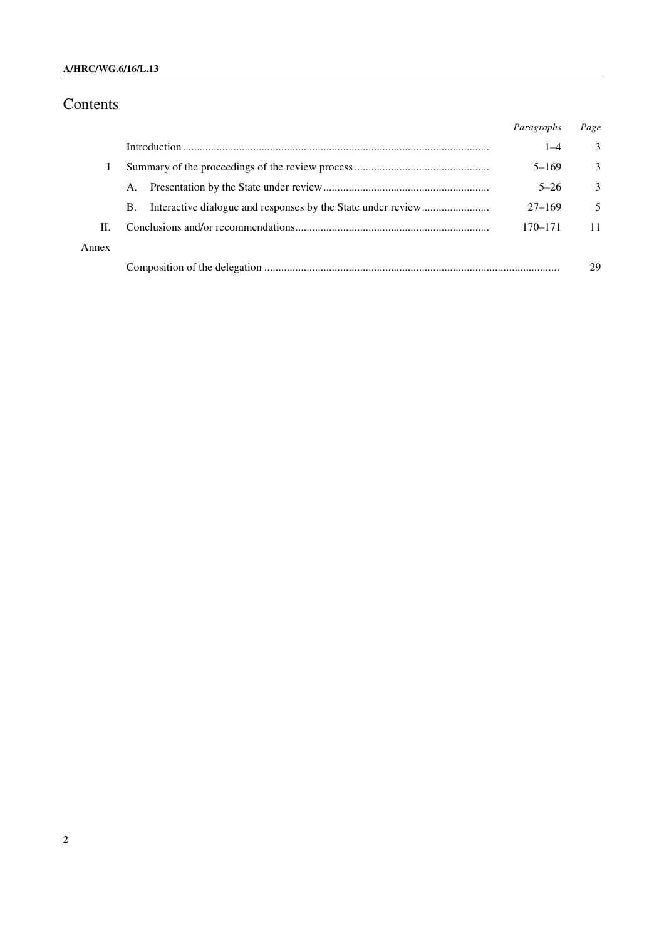#### **A/HRC/WG.6/16/L.13**

# Contents

|       |    | Paragraphs | Page |
|-------|----|------------|------|
|       |    | $1 - 4$    | 3    |
|       |    | $5 - 169$  | 3    |
|       | A. | $5 - 26$   | 3    |
|       | B. | $27 - 169$ | 5    |
| П.    |    | 170–171    |      |
| Annex |    |            |      |
|       |    |            | 29   |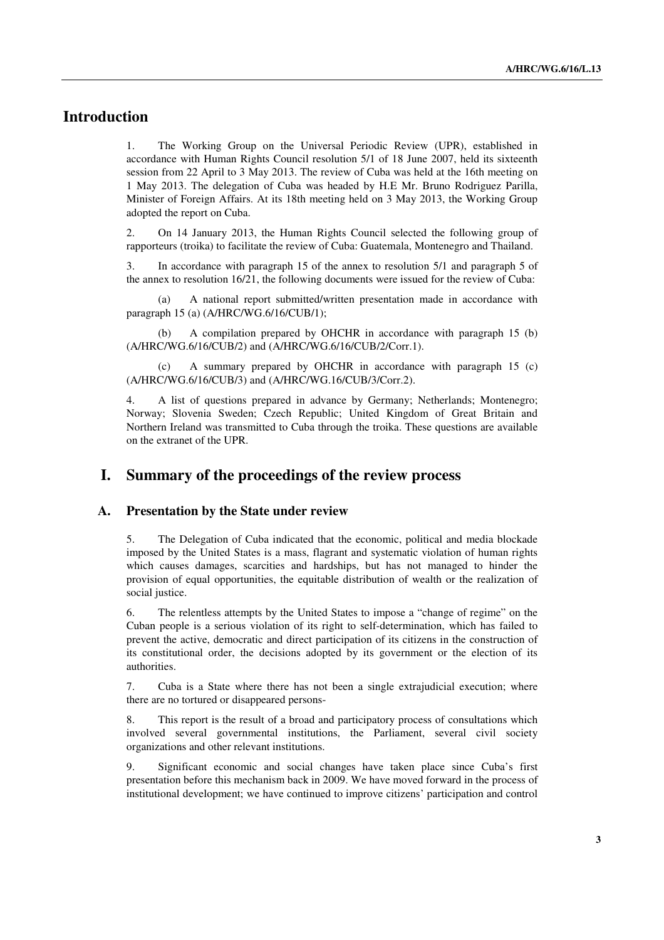## **Introduction**

1. The Working Group on the Universal Periodic Review (UPR), established in accordance with Human Rights Council resolution 5/1 of 18 June 2007, held its sixteenth session from 22 April to 3 May 2013. The review of Cuba was held at the 16th meeting on 1 May 2013. The delegation of Cuba was headed by H.E Mr. Bruno Rodriguez Parilla, Minister of Foreign Affairs. At its 18th meeting held on 3 May 2013, the Working Group adopted the report on Cuba.

2. On 14 January 2013, the Human Rights Council selected the following group of rapporteurs (troika) to facilitate the review of Cuba: Guatemala, Montenegro and Thailand.

3. In accordance with paragraph 15 of the annex to resolution 5/1 and paragraph 5 of the annex to resolution 16/21, the following documents were issued for the review of Cuba:

 (a) A national report submitted/written presentation made in accordance with paragraph 15 (a) (A/HRC/WG.6/16/CUB/1);

 (b) A compilation prepared by OHCHR in accordance with paragraph 15 (b) (A/HRC/WG.6/16/CUB/2) and (A/HRC/WG.6/16/CUB/2/Corr.1).

 (c) A summary prepared by OHCHR in accordance with paragraph 15 (c) (A/HRC/WG.6/16/CUB/3) and (A/HRC/WG.16/CUB/3/Corr.2).

4. A list of questions prepared in advance by Germany; Netherlands; Montenegro; Norway; Slovenia Sweden; Czech Republic; United Kingdom of Great Britain and Northern Ireland was transmitted to Cuba through the troika. These questions are available on the extranet of the UPR.

## **I. Summary of the proceedings of the review process**

#### **A. Presentation by the State under review**

5. The Delegation of Cuba indicated that the economic, political and media blockade imposed by the United States is a mass, flagrant and systematic violation of human rights which causes damages, scarcities and hardships, but has not managed to hinder the provision of equal opportunities, the equitable distribution of wealth or the realization of social justice.

6. The relentless attempts by the United States to impose a "change of regime" on the Cuban people is a serious violation of its right to self-determination, which has failed to prevent the active, democratic and direct participation of its citizens in the construction of its constitutional order, the decisions adopted by its government or the election of its authorities.

7. Cuba is a State where there has not been a single extrajudicial execution; where there are no tortured or disappeared persons-

8. This report is the result of a broad and participatory process of consultations which involved several governmental institutions, the Parliament, several civil society organizations and other relevant institutions.

9. Significant economic and social changes have taken place since Cuba's first presentation before this mechanism back in 2009. We have moved forward in the process of institutional development; we have continued to improve citizens' participation and control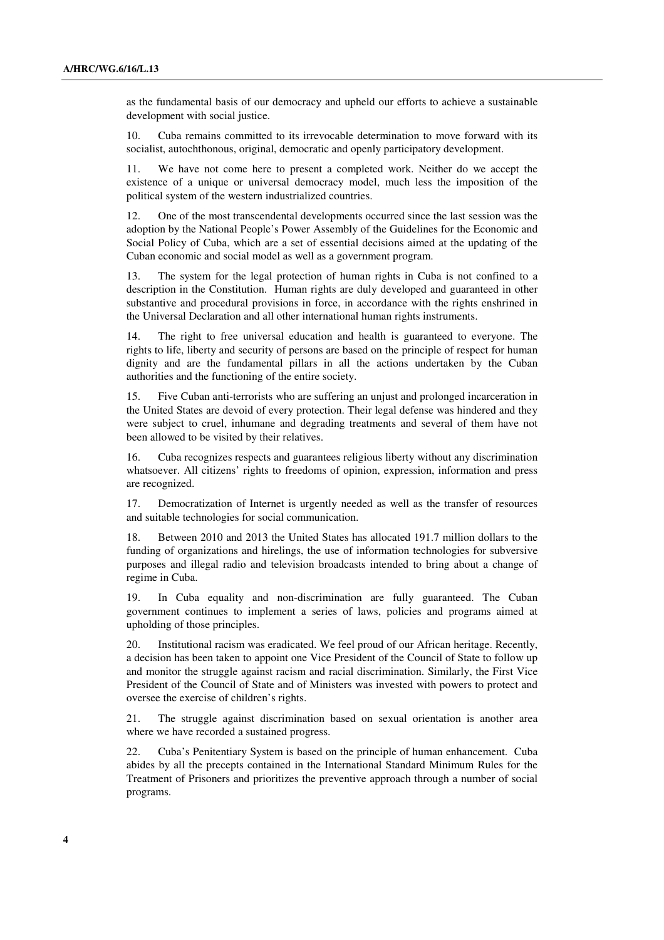as the fundamental basis of our democracy and upheld our efforts to achieve a sustainable development with social justice.

10. Cuba remains committed to its irrevocable determination to move forward with its socialist, autochthonous, original, democratic and openly participatory development.

11. We have not come here to present a completed work. Neither do we accept the existence of a unique or universal democracy model, much less the imposition of the political system of the western industrialized countries.

12. One of the most transcendental developments occurred since the last session was the adoption by the National People's Power Assembly of the Guidelines for the Economic and Social Policy of Cuba, which are a set of essential decisions aimed at the updating of the Cuban economic and social model as well as a government program.

13. The system for the legal protection of human rights in Cuba is not confined to a description in the Constitution. Human rights are duly developed and guaranteed in other substantive and procedural provisions in force, in accordance with the rights enshrined in the Universal Declaration and all other international human rights instruments.

14. The right to free universal education and health is guaranteed to everyone. The rights to life, liberty and security of persons are based on the principle of respect for human dignity and are the fundamental pillars in all the actions undertaken by the Cuban authorities and the functioning of the entire society.

15. Five Cuban anti-terrorists who are suffering an unjust and prolonged incarceration in the United States are devoid of every protection. Their legal defense was hindered and they were subject to cruel, inhumane and degrading treatments and several of them have not been allowed to be visited by their relatives.

16. Cuba recognizes respects and guarantees religious liberty without any discrimination whatsoever. All citizens' rights to freedoms of opinion, expression, information and press are recognized.

17. Democratization of Internet is urgently needed as well as the transfer of resources and suitable technologies for social communication.

18. Between 2010 and 2013 the United States has allocated 191.7 million dollars to the funding of organizations and hirelings, the use of information technologies for subversive purposes and illegal radio and television broadcasts intended to bring about a change of regime in Cuba.

19. In Cuba equality and non-discrimination are fully guaranteed. The Cuban government continues to implement a series of laws, policies and programs aimed at upholding of those principles.

20. Institutional racism was eradicated. We feel proud of our African heritage. Recently, a decision has been taken to appoint one Vice President of the Council of State to follow up and monitor the struggle against racism and racial discrimination. Similarly, the First Vice President of the Council of State and of Ministers was invested with powers to protect and oversee the exercise of children's rights.

21. The struggle against discrimination based on sexual orientation is another area where we have recorded a sustained progress.

22. Cuba's Penitentiary System is based on the principle of human enhancement. Cuba abides by all the precepts contained in the International Standard Minimum Rules for the Treatment of Prisoners and prioritizes the preventive approach through a number of social programs.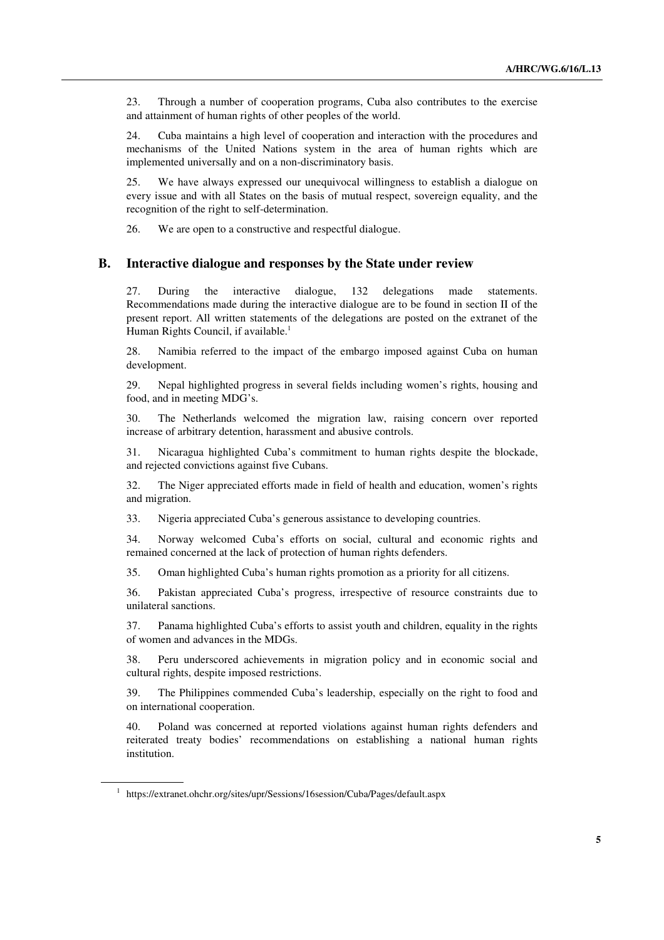23. Through a number of cooperation programs, Cuba also contributes to the exercise and attainment of human rights of other peoples of the world.

24. Cuba maintains a high level of cooperation and interaction with the procedures and mechanisms of the United Nations system in the area of human rights which are implemented universally and on a non-discriminatory basis.

25. We have always expressed our unequivocal willingness to establish a dialogue on every issue and with all States on the basis of mutual respect, sovereign equality, and the recognition of the right to self-determination.

26. We are open to a constructive and respectful dialogue.

#### **B. Interactive dialogue and responses by the State under review**

27. During the interactive dialogue, 132 delegations made statements. Recommendations made during the interactive dialogue are to be found in section II of the present report. All written statements of the delegations are posted on the extranet of the Human Rights Council, if available.<sup>1</sup>

28. Namibia referred to the impact of the embargo imposed against Cuba on human development.

29. Nepal highlighted progress in several fields including women's rights, housing and food, and in meeting MDG's.

30. The Netherlands welcomed the migration law, raising concern over reported increase of arbitrary detention, harassment and abusive controls.

31. Nicaragua highlighted Cuba's commitment to human rights despite the blockade, and rejected convictions against five Cubans.

32. The Niger appreciated efforts made in field of health and education, women's rights and migration.

33. Nigeria appreciated Cuba's generous assistance to developing countries.

34. Norway welcomed Cuba's efforts on social, cultural and economic rights and remained concerned at the lack of protection of human rights defenders.

35. Oman highlighted Cuba's human rights promotion as a priority for all citizens.

36. Pakistan appreciated Cuba's progress, irrespective of resource constraints due to unilateral sanctions.

37. Panama highlighted Cuba's efforts to assist youth and children, equality in the rights of women and advances in the MDGs.

38. Peru underscored achievements in migration policy and in economic social and cultural rights, despite imposed restrictions.

39. The Philippines commended Cuba's leadership, especially on the right to food and on international cooperation.

40. Poland was concerned at reported violations against human rights defenders and reiterated treaty bodies' recommendations on establishing a national human rights institution.

<sup>&</sup>lt;sup>1</sup> https://extranet.ohchr.org/sites/upr/Sessions/16session/Cuba/Pages/default.aspx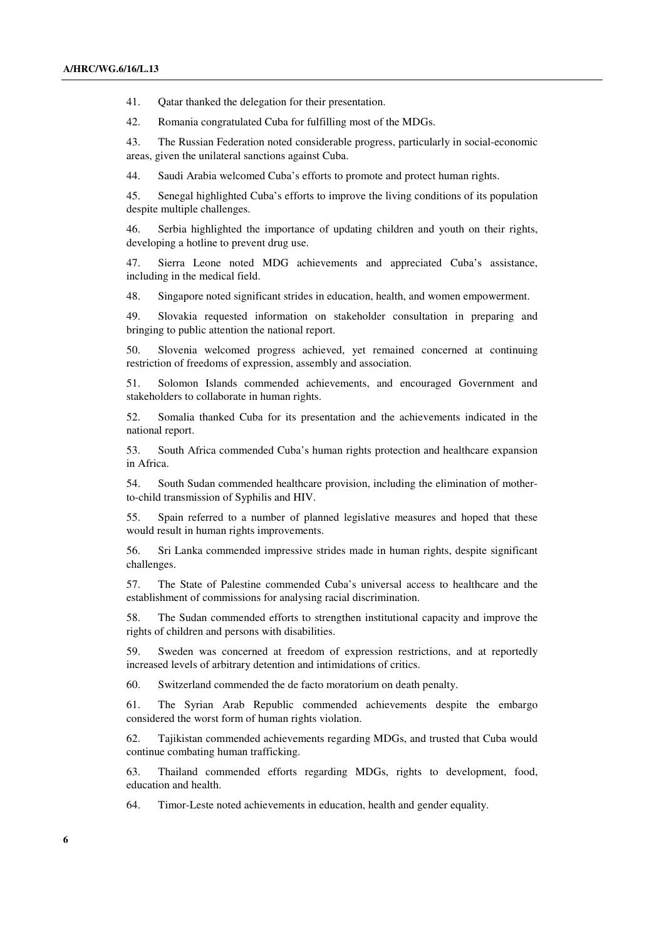41. Qatar thanked the delegation for their presentation.

42. Romania congratulated Cuba for fulfilling most of the MDGs.

43. The Russian Federation noted considerable progress, particularly in social-economic areas, given the unilateral sanctions against Cuba.

44. Saudi Arabia welcomed Cuba's efforts to promote and protect human rights.

45. Senegal highlighted Cuba's efforts to improve the living conditions of its population despite multiple challenges.

46. Serbia highlighted the importance of updating children and youth on their rights, developing a hotline to prevent drug use.

47. Sierra Leone noted MDG achievements and appreciated Cuba's assistance, including in the medical field.

48. Singapore noted significant strides in education, health, and women empowerment.

49. Slovakia requested information on stakeholder consultation in preparing and bringing to public attention the national report.

50. Slovenia welcomed progress achieved, yet remained concerned at continuing restriction of freedoms of expression, assembly and association.

51. Solomon Islands commended achievements, and encouraged Government and stakeholders to collaborate in human rights.

52. Somalia thanked Cuba for its presentation and the achievements indicated in the national report.

53. South Africa commended Cuba's human rights protection and healthcare expansion in Africa.

54. South Sudan commended healthcare provision, including the elimination of motherto-child transmission of Syphilis and HIV.

55. Spain referred to a number of planned legislative measures and hoped that these would result in human rights improvements.

56. Sri Lanka commended impressive strides made in human rights, despite significant challenges.

57. The State of Palestine commended Cuba's universal access to healthcare and the establishment of commissions for analysing racial discrimination.

58. The Sudan commended efforts to strengthen institutional capacity and improve the rights of children and persons with disabilities.

59. Sweden was concerned at freedom of expression restrictions, and at reportedly increased levels of arbitrary detention and intimidations of critics.

60. Switzerland commended the de facto moratorium on death penalty.

61. The Syrian Arab Republic commended achievements despite the embargo considered the worst form of human rights violation.

62. Tajikistan commended achievements regarding MDGs, and trusted that Cuba would continue combating human trafficking.

63. Thailand commended efforts regarding MDGs, rights to development, food, education and health.

64. Timor-Leste noted achievements in education, health and gender equality.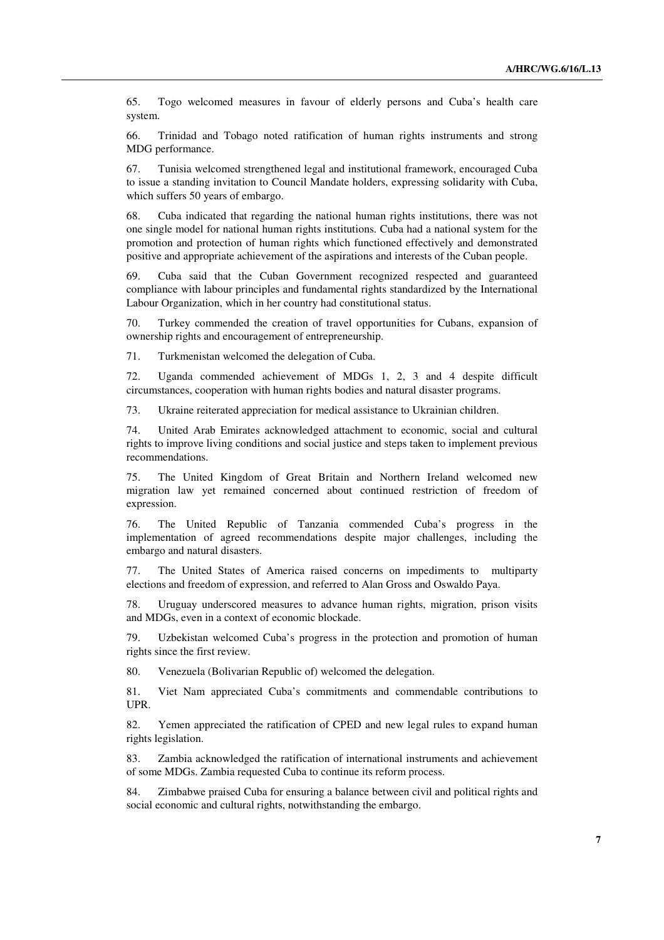65. Togo welcomed measures in favour of elderly persons and Cuba's health care system.

66. Trinidad and Tobago noted ratification of human rights instruments and strong MDG performance.

67. Tunisia welcomed strengthened legal and institutional framework, encouraged Cuba to issue a standing invitation to Council Mandate holders, expressing solidarity with Cuba, which suffers 50 years of embargo.

68. Cuba indicated that regarding the national human rights institutions, there was not one single model for national human rights institutions. Cuba had a national system for the promotion and protection of human rights which functioned effectively and demonstrated positive and appropriate achievement of the aspirations and interests of the Cuban people.

69. Cuba said that the Cuban Government recognized respected and guaranteed compliance with labour principles and fundamental rights standardized by the International Labour Organization, which in her country had constitutional status.

70. Turkey commended the creation of travel opportunities for Cubans, expansion of ownership rights and encouragement of entrepreneurship.

71. Turkmenistan welcomed the delegation of Cuba.

72. Uganda commended achievement of MDGs 1, 2, 3 and 4 despite difficult circumstances, cooperation with human rights bodies and natural disaster programs.

73. Ukraine reiterated appreciation for medical assistance to Ukrainian children.

74. United Arab Emirates acknowledged attachment to economic, social and cultural rights to improve living conditions and social justice and steps taken to implement previous recommendations.

75. The United Kingdom of Great Britain and Northern Ireland welcomed new migration law yet remained concerned about continued restriction of freedom of expression.

76. The United Republic of Tanzania commended Cuba's progress in the implementation of agreed recommendations despite major challenges, including the embargo and natural disasters.

77. The United States of America raised concerns on impediments to multiparty elections and freedom of expression, and referred to Alan Gross and Oswaldo Paya.

78. Uruguay underscored measures to advance human rights, migration, prison visits and MDGs, even in a context of economic blockade.

79. Uzbekistan welcomed Cuba's progress in the protection and promotion of human rights since the first review.

80. Venezuela (Bolivarian Republic of) welcomed the delegation.

81. Viet Nam appreciated Cuba's commitments and commendable contributions to UPR.

82. Yemen appreciated the ratification of CPED and new legal rules to expand human rights legislation.

83. Zambia acknowledged the ratification of international instruments and achievement of some MDGs. Zambia requested Cuba to continue its reform process.

84. Zimbabwe praised Cuba for ensuring a balance between civil and political rights and social economic and cultural rights, notwithstanding the embargo.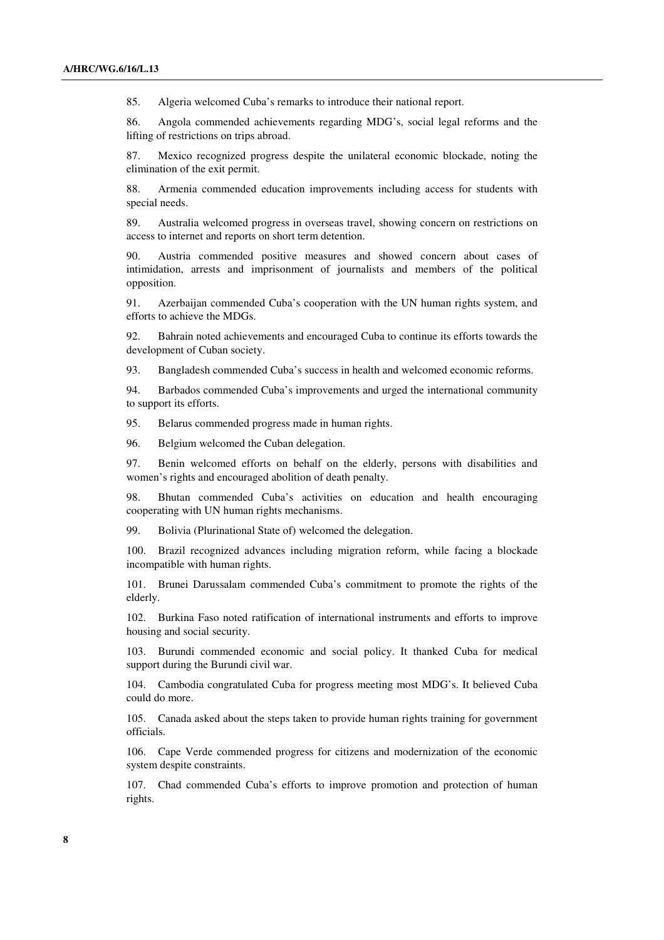85. Algeria welcomed Cuba's remarks to introduce their national report.

86. Angola commended achievements regarding MDG's, social legal reforms and the lifting of restrictions on trips abroad.

87. Mexico recognized progress despite the unilateral economic blockade, noting the elimination of the exit permit.

88. Armenia commended education improvements including access for students with special needs.

89. Australia welcomed progress in overseas travel, showing concern on restrictions on access to internet and reports on short term detention.

90. Austria commended positive measures and showed concern about cases of intimidation, arrests and imprisonment of journalists and members of the political opposition.

91. Azerbaijan commended Cuba's cooperation with the UN human rights system, and efforts to achieve the MDGs.

92. Bahrain noted achievements and encouraged Cuba to continue its efforts towards the development of Cuban society.

93. Bangladesh commended Cuba's success in health and welcomed economic reforms.

94. Barbados commended Cuba's improvements and urged the international community to support its efforts.

95. Belarus commended progress made in human rights.

96. Belgium welcomed the Cuban delegation.

97. Benin welcomed efforts on behalf on the elderly, persons with disabilities and women's rights and encouraged abolition of death penalty.

98. Bhutan commended Cuba's activities on education and health encouraging cooperating with UN human rights mechanisms.

99. Bolivia (Plurinational State of) welcomed the delegation.

100. Brazil recognized advances including migration reform, while facing a blockade incompatible with human rights.

101. Brunei Darussalam commended Cuba's commitment to promote the rights of the elderly.

102. Burkina Faso noted ratification of international instruments and efforts to improve housing and social security.

103. Burundi commended economic and social policy. It thanked Cuba for medical support during the Burundi civil war.

104. Cambodia congratulated Cuba for progress meeting most MDG's. It believed Cuba could do more.

105. Canada asked about the steps taken to provide human rights training for government officials.

106. Cape Verde commended progress for citizens and modernization of the economic system despite constraints.

107. Chad commended Cuba's efforts to improve promotion and protection of human rights.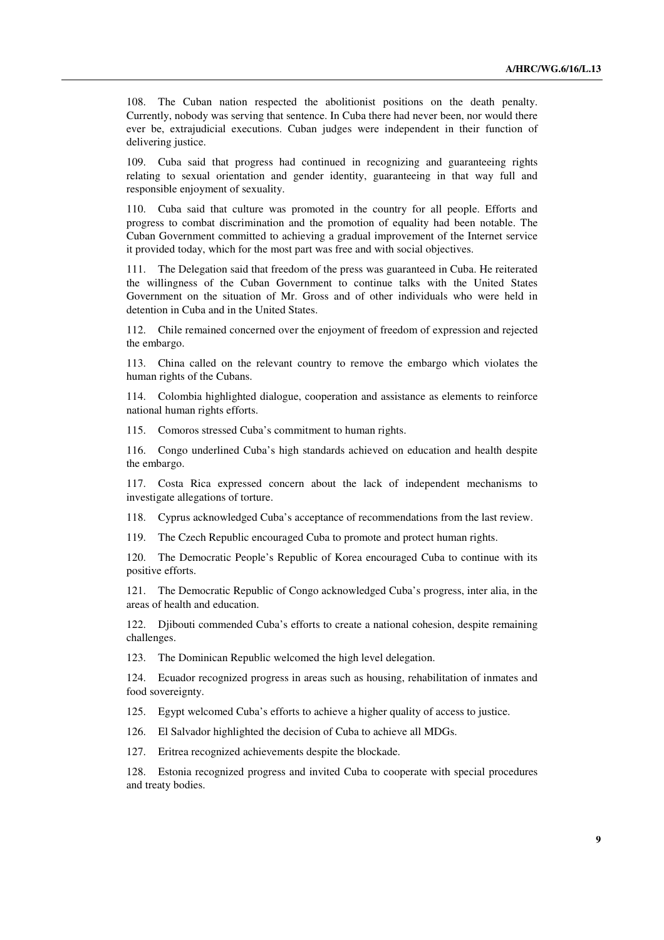108. The Cuban nation respected the abolitionist positions on the death penalty. Currently, nobody was serving that sentence. In Cuba there had never been, nor would there ever be, extrajudicial executions. Cuban judges were independent in their function of delivering justice.

109. Cuba said that progress had continued in recognizing and guaranteeing rights relating to sexual orientation and gender identity, guaranteeing in that way full and responsible enjoyment of sexuality.

110. Cuba said that culture was promoted in the country for all people. Efforts and progress to combat discrimination and the promotion of equality had been notable. The Cuban Government committed to achieving a gradual improvement of the Internet service it provided today, which for the most part was free and with social objectives.

111. The Delegation said that freedom of the press was guaranteed in Cuba. He reiterated the willingness of the Cuban Government to continue talks with the United States Government on the situation of Mr. Gross and of other individuals who were held in detention in Cuba and in the United States.

112. Chile remained concerned over the enjoyment of freedom of expression and rejected the embargo.

113. China called on the relevant country to remove the embargo which violates the human rights of the Cubans.

114. Colombia highlighted dialogue, cooperation and assistance as elements to reinforce national human rights efforts.

115. Comoros stressed Cuba's commitment to human rights.

116. Congo underlined Cuba's high standards achieved on education and health despite the embargo.

117. Costa Rica expressed concern about the lack of independent mechanisms to investigate allegations of torture.

118. Cyprus acknowledged Cuba's acceptance of recommendations from the last review.

119. The Czech Republic encouraged Cuba to promote and protect human rights.

120. The Democratic People's Republic of Korea encouraged Cuba to continue with its positive efforts.

121. The Democratic Republic of Congo acknowledged Cuba's progress, inter alia, in the areas of health and education.

122. Djibouti commended Cuba's efforts to create a national cohesion, despite remaining challenges.

123. The Dominican Republic welcomed the high level delegation.

124. Ecuador recognized progress in areas such as housing, rehabilitation of inmates and food sovereignty.

125. Egypt welcomed Cuba's efforts to achieve a higher quality of access to justice.

126. El Salvador highlighted the decision of Cuba to achieve all MDGs.

127. Eritrea recognized achievements despite the blockade.

128. Estonia recognized progress and invited Cuba to cooperate with special procedures and treaty bodies.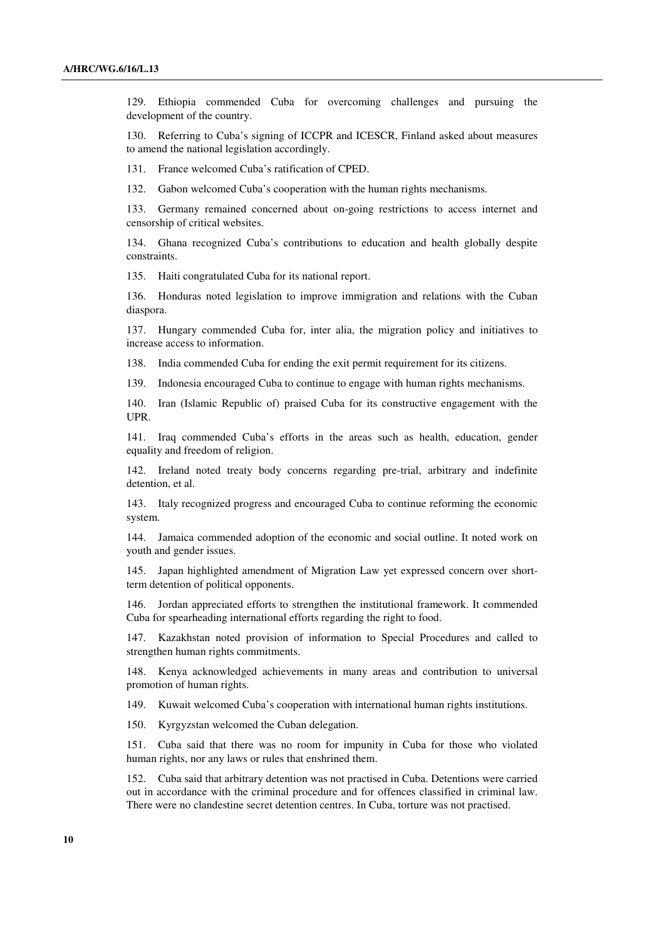129. Ethiopia commended Cuba for overcoming challenges and pursuing the development of the country.

130. Referring to Cuba's signing of ICCPR and ICESCR, Finland asked about measures to amend the national legislation accordingly.

131. France welcomed Cuba's ratification of CPED.

132. Gabon welcomed Cuba's cooperation with the human rights mechanisms.

133. Germany remained concerned about on-going restrictions to access internet and censorship of critical websites.

134. Ghana recognized Cuba's contributions to education and health globally despite constraints.

135. Haiti congratulated Cuba for its national report.

136. Honduras noted legislation to improve immigration and relations with the Cuban diaspora.

137. Hungary commended Cuba for, inter alia, the migration policy and initiatives to increase access to information.

138. India commended Cuba for ending the exit permit requirement for its citizens.

139. Indonesia encouraged Cuba to continue to engage with human rights mechanisms.

140. Iran (Islamic Republic of) praised Cuba for its constructive engagement with the UPR.

141. Iraq commended Cuba's efforts in the areas such as health, education, gender equality and freedom of religion.

142. Ireland noted treaty body concerns regarding pre-trial, arbitrary and indefinite detention, et al.

143. Italy recognized progress and encouraged Cuba to continue reforming the economic system.

144. Jamaica commended adoption of the economic and social outline. It noted work on youth and gender issues.

145. Japan highlighted amendment of Migration Law yet expressed concern over shortterm detention of political opponents.

146. Jordan appreciated efforts to strengthen the institutional framework. It commended Cuba for spearheading international efforts regarding the right to food.

147. Kazakhstan noted provision of information to Special Procedures and called to strengthen human rights commitments.

148. Kenya acknowledged achievements in many areas and contribution to universal promotion of human rights.

149. Kuwait welcomed Cuba's cooperation with international human rights institutions.

150. Kyrgyzstan welcomed the Cuban delegation.

151. Cuba said that there was no room for impunity in Cuba for those who violated human rights, nor any laws or rules that enshrined them.

152. Cuba said that arbitrary detention was not practised in Cuba. Detentions were carried out in accordance with the criminal procedure and for offences classified in criminal law. There were no clandestine secret detention centres. In Cuba, torture was not practised.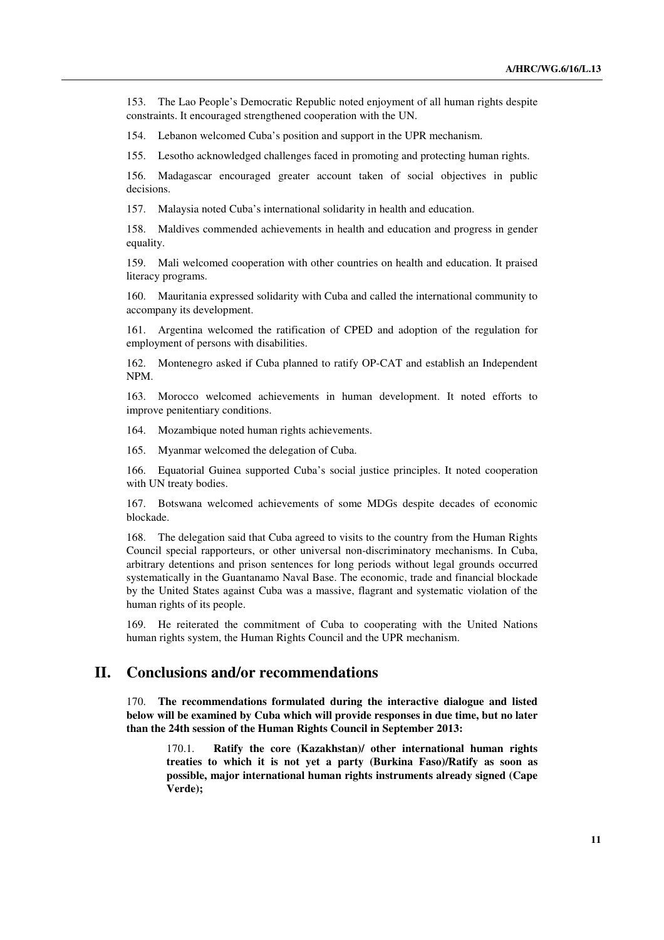153. The Lao People's Democratic Republic noted enjoyment of all human rights despite constraints. It encouraged strengthened cooperation with the UN.

154. Lebanon welcomed Cuba's position and support in the UPR mechanism.

155. Lesotho acknowledged challenges faced in promoting and protecting human rights.

156. Madagascar encouraged greater account taken of social objectives in public decisions.

157. Malaysia noted Cuba's international solidarity in health and education.

158. Maldives commended achievements in health and education and progress in gender equality.

159. Mali welcomed cooperation with other countries on health and education. It praised literacy programs.

160. Mauritania expressed solidarity with Cuba and called the international community to accompany its development.

161. Argentina welcomed the ratification of CPED and adoption of the regulation for employment of persons with disabilities.

162. Montenegro asked if Cuba planned to ratify OP-CAT and establish an Independent NPM.

163. Morocco welcomed achievements in human development. It noted efforts to improve penitentiary conditions.

164. Mozambique noted human rights achievements.

165. Myanmar welcomed the delegation of Cuba.

166. Equatorial Guinea supported Cuba's social justice principles. It noted cooperation with UN treaty bodies.

167. Botswana welcomed achievements of some MDGs despite decades of economic blockade.

168. The delegation said that Cuba agreed to visits to the country from the Human Rights Council special rapporteurs, or other universal non-discriminatory mechanisms. In Cuba, arbitrary detentions and prison sentences for long periods without legal grounds occurred systematically in the Guantanamo Naval Base. The economic, trade and financial blockade by the United States against Cuba was a massive, flagrant and systematic violation of the human rights of its people.

169. He reiterated the commitment of Cuba to cooperating with the United Nations human rights system, the Human Rights Council and the UPR mechanism.

## **II. Conclusions and/or recommendations**

170. **The recommendations formulated during the interactive dialogue and listed below will be examined by Cuba which will provide responses in due time, but no later than the 24th session of the Human Rights Council in September 2013:**

Ratify the core (Kazakhstan)/ other international human rights **treaties to which it is not yet a party (Burkina Faso)/Ratify as soon as possible, major international human rights instruments already signed (Cape Verde);**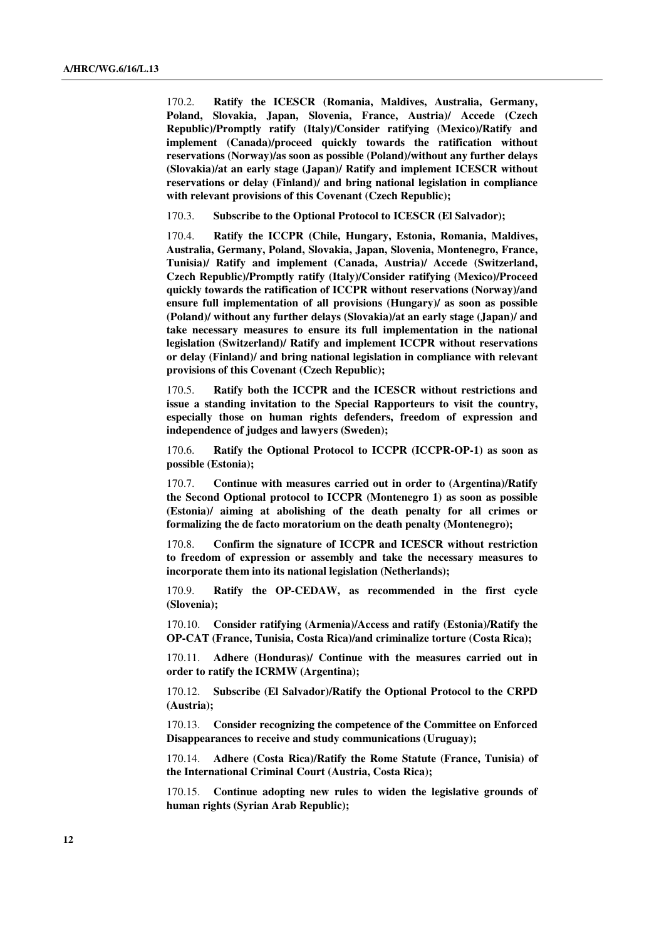170.2. **Ratify the ICESCR (Romania, Maldives, Australia, Germany, Poland, Slovakia, Japan, Slovenia, France, Austria)/ Accede (Czech Republic)/Promptly ratify (Italy)/Consider ratifying (Mexico)/Ratify and implement (Canada)/proceed quickly towards the ratification without reservations (Norway)/as soon as possible (Poland)/without any further delays (Slovakia)/at an early stage (Japan)/ Ratify and implement ICESCR without reservations or delay (Finland)/ and bring national legislation in compliance with relevant provisions of this Covenant (Czech Republic);** 

170.3. **Subscribe to the Optional Protocol to ICESCR (El Salvador);** 

170.4. **Ratify the ICCPR (Chile, Hungary, Estonia, Romania, Maldives, Australia, Germany, Poland, Slovakia, Japan, Slovenia, Montenegro, France, Tunisia)/ Ratify and implement (Canada, Austria)/ Accede (Switzerland, Czech Republic)/Promptly ratify (Italy)/Consider ratifying (Mexico)/Proceed quickly towards the ratification of ICCPR without reservations (Norway)/and ensure full implementation of all provisions (Hungary)/ as soon as possible (Poland)/ without any further delays (Slovakia)/at an early stage (Japan)/ and take necessary measures to ensure its full implementation in the national legislation (Switzerland)/ Ratify and implement ICCPR without reservations or delay (Finland)/ and bring national legislation in compliance with relevant provisions of this Covenant (Czech Republic);** 

170.5. **Ratify both the ICCPR and the ICESCR without restrictions and issue a standing invitation to the Special Rapporteurs to visit the country, especially those on human rights defenders, freedom of expression and independence of judges and lawyers (Sweden);** 

170.6. **Ratify the Optional Protocol to ICCPR (ICCPR-OP-1) as soon as possible (Estonia);** 

170.7. **Continue with measures carried out in order to (Argentina)/Ratify the Second Optional protocol to ICCPR (Montenegro 1) as soon as possible (Estonia)/ aiming at abolishing of the death penalty for all crimes or formalizing the de facto moratorium on the death penalty (Montenegro);** 

170.8. **Confirm the signature of ICCPR and ICESCR without restriction to freedom of expression or assembly and take the necessary measures to incorporate them into its national legislation (Netherlands);** 

170.9. **Ratify the OP-CEDAW, as recommended in the first cycle (Slovenia);** 

170.10. **Consider ratifying (Armenia)/Access and ratify (Estonia)/Ratify the OP-CAT (France, Tunisia, Costa Rica)/and criminalize torture (Costa Rica);** 

170.11. **Adhere (Honduras)/ Continue with the measures carried out in order to ratify the ICRMW (Argentina);** 

170.12. **Subscribe (El Salvador)/Ratify the Optional Protocol to the CRPD (Austria);** 

170.13. **Consider recognizing the competence of the Committee on Enforced Disappearances to receive and study communications (Uruguay);** 

170.14. **Adhere (Costa Rica)/Ratify the Rome Statute (France, Tunisia) of the International Criminal Court (Austria, Costa Rica);** 

170.15. **Continue adopting new rules to widen the legislative grounds of human rights (Syrian Arab Republic);**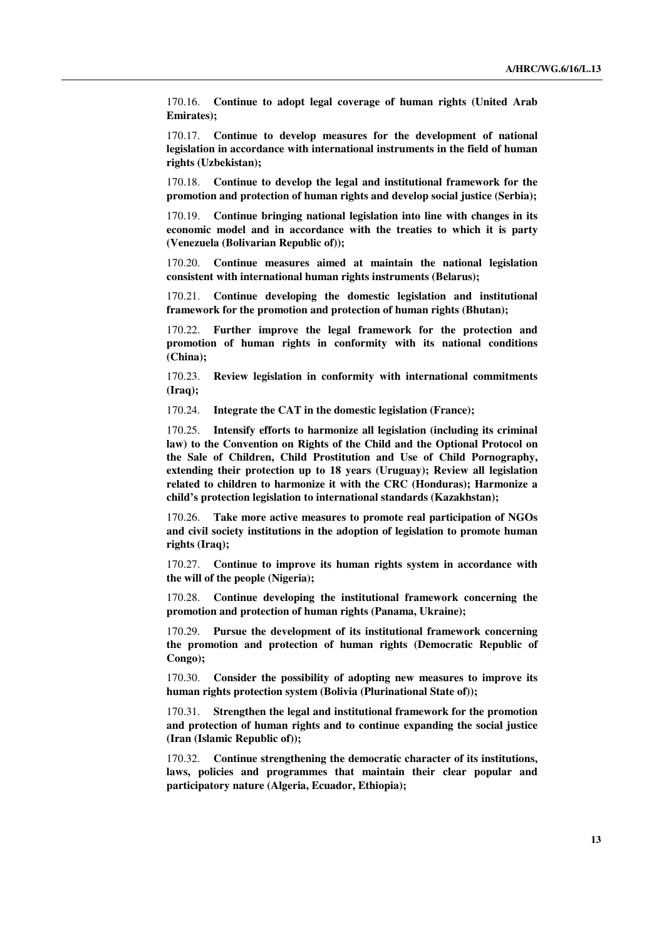170.16. **Continue to adopt legal coverage of human rights (United Arab Emirates);** 

170.17. **Continue to develop measures for the development of national legislation in accordance with international instruments in the field of human rights (Uzbekistan);** 

170.18. **Continue to develop the legal and institutional framework for the promotion and protection of human rights and develop social justice (Serbia);** 

170.19. **Continue bringing national legislation into line with changes in its economic model and in accordance with the treaties to which it is party (Venezuela (Bolivarian Republic of));** 

170.20. **Continue measures aimed at maintain the national legislation consistent with international human rights instruments (Belarus);** 

170.21. **Continue developing the domestic legislation and institutional framework for the promotion and protection of human rights (Bhutan);** 

170.22. **Further improve the legal framework for the protection and promotion of human rights in conformity with its national conditions (China);** 

170.23. **Review legislation in conformity with international commitments (Iraq);** 

170.24. **Integrate the CAT in the domestic legislation (France);** 

170.25. **Intensify efforts to harmonize all legislation (including its criminal law) to the Convention on Rights of the Child and the Optional Protocol on the Sale of Children, Child Prostitution and Use of Child Pornography, extending their protection up to 18 years (Uruguay); Review all legislation related to children to harmonize it with the CRC (Honduras); Harmonize a child's protection legislation to international standards (Kazakhstan);** 

170.26. **Take more active measures to promote real participation of NGOs and civil society institutions in the adoption of legislation to promote human rights (Iraq);** 

170.27. **Continue to improve its human rights system in accordance with the will of the people (Nigeria);** 

170.28. **Continue developing the institutional framework concerning the promotion and protection of human rights (Panama, Ukraine);** 

170.29. **Pursue the development of its institutional framework concerning the promotion and protection of human rights (Democratic Republic of Congo);** 

170.30. **Consider the possibility of adopting new measures to improve its human rights protection system (Bolivia (Plurinational State of));** 

170.31. **Strengthen the legal and institutional framework for the promotion and protection of human rights and to continue expanding the social justice (Iran (Islamic Republic of));** 

170.32. **Continue strengthening the democratic character of its institutions, laws, policies and programmes that maintain their clear popular and participatory nature (Algeria, Ecuador, Ethiopia);**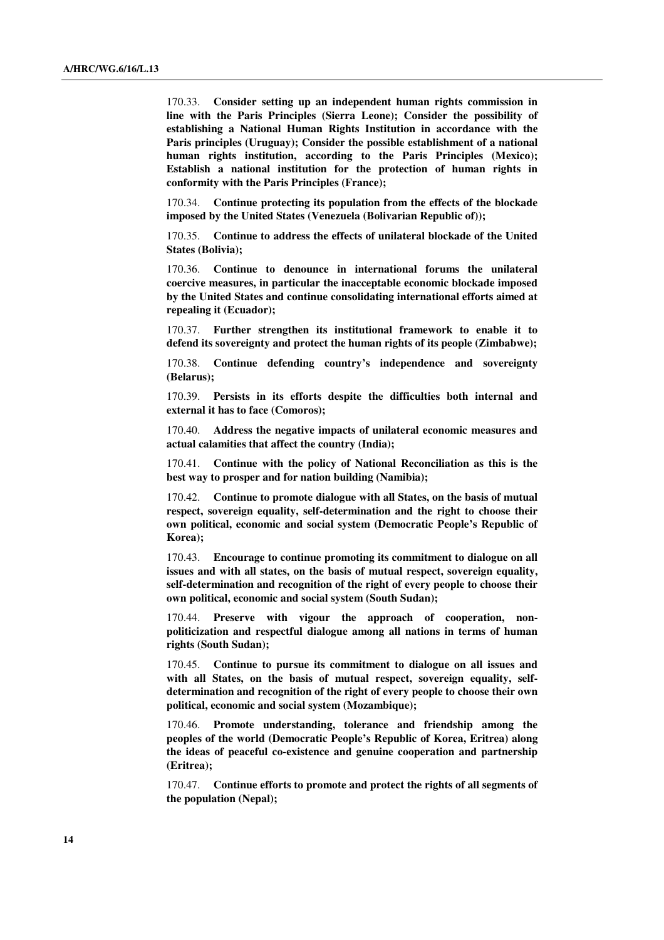170.33. **Consider setting up an independent human rights commission in line with the Paris Principles (Sierra Leone); Consider the possibility of establishing a National Human Rights Institution in accordance with the Paris principles (Uruguay); Consider the possible establishment of a national human rights institution, according to the Paris Principles (Mexico); Establish a national institution for the protection of human rights in conformity with the Paris Principles (France);** 

170.34. **Continue protecting its population from the effects of the blockade imposed by the United States (Venezuela (Bolivarian Republic of));** 

170.35. **Continue to address the effects of unilateral blockade of the United States (Bolivia);** 

170.36. **Continue to denounce in international forums the unilateral coercive measures, in particular the inacceptable economic blockade imposed by the United States and continue consolidating international efforts aimed at repealing it (Ecuador);** 

170.37. **Further strengthen its institutional framework to enable it to defend its sovereignty and protect the human rights of its people (Zimbabwe);** 

170.38. **Continue defending country's independence and sovereignty (Belarus);** 

170.39. **Persists in its efforts despite the difficulties both internal and external it has to face (Comoros);** 

170.40. **Address the negative impacts of unilateral economic measures and actual calamities that affect the country (India);** 

170.41. **Continue with the policy of National Reconciliation as this is the best way to prosper and for nation building (Namibia);** 

170.42. **Continue to promote dialogue with all States, on the basis of mutual respect, sovereign equality, self-determination and the right to choose their own political, economic and social system (Democratic People's Republic of Korea);** 

170.43. **Encourage to continue promoting its commitment to dialogue on all issues and with all states, on the basis of mutual respect, sovereign equality, self-determination and recognition of the right of every people to choose their own political, economic and social system (South Sudan);** 

170.44. **Preserve with vigour the approach of cooperation, nonpoliticization and respectful dialogue among all nations in terms of human rights (South Sudan);** 

170.45. **Continue to pursue its commitment to dialogue on all issues and**  with all States, on the basis of mutual respect, sovereign equality, self**determination and recognition of the right of every people to choose their own political, economic and social system (Mozambique);**

170.46. **Promote understanding, tolerance and friendship among the peoples of the world (Democratic People's Republic of Korea, Eritrea) along the ideas of peaceful co-existence and genuine cooperation and partnership (Eritrea);** 

170.47. **Continue efforts to promote and protect the rights of all segments of the population (Nepal);**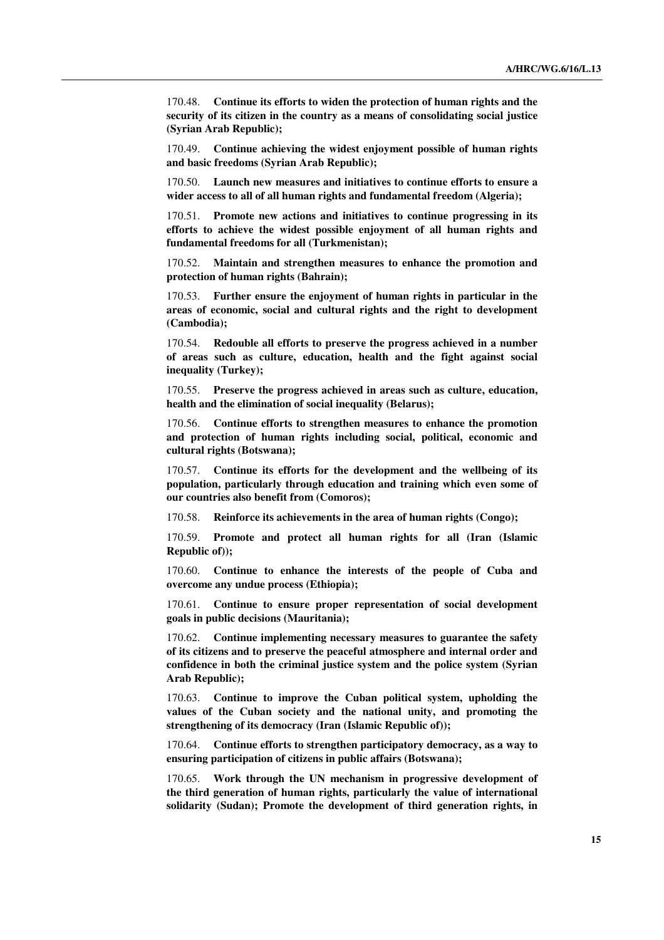170.48. **Continue its efforts to widen the protection of human rights and the security of its citizen in the country as a means of consolidating social justice (Syrian Arab Republic);** 

170.49. **Continue achieving the widest enjoyment possible of human rights and basic freedoms (Syrian Arab Republic);** 

170.50. **Launch new measures and initiatives to continue efforts to ensure a wider access to all of all human rights and fundamental freedom (Algeria);** 

170.51. **Promote new actions and initiatives to continue progressing in its efforts to achieve the widest possible enjoyment of all human rights and fundamental freedoms for all (Turkmenistan);** 

170.52. **Maintain and strengthen measures to enhance the promotion and protection of human rights (Bahrain);** 

170.53. **Further ensure the enjoyment of human rights in particular in the areas of economic, social and cultural rights and the right to development (Cambodia);** 

170.54. **Redouble all efforts to preserve the progress achieved in a number of areas such as culture, education, health and the fight against social inequality (Turkey);** 

170.55. **Preserve the progress achieved in areas such as culture, education, health and the elimination of social inequality (Belarus);** 

170.56. **Continue efforts to strengthen measures to enhance the promotion and protection of human rights including social, political, economic and cultural rights (Botswana);** 

170.57. **Continue its efforts for the development and the wellbeing of its population, particularly through education and training which even some of our countries also benefit from (Comoros);** 

170.58. **Reinforce its achievements in the area of human rights (Congo);** 

170.59. **Promote and protect all human rights for all (Iran (Islamic Republic of));** 

170.60. **Continue to enhance the interests of the people of Cuba and overcome any undue process (Ethiopia);** 

170.61. **Continue to ensure proper representation of social development goals in public decisions (Mauritania);** 

170.62. **Continue implementing necessary measures to guarantee the safety of its citizens and to preserve the peaceful atmosphere and internal order and confidence in both the criminal justice system and the police system (Syrian Arab Republic);** 

170.63. **Continue to improve the Cuban political system, upholding the values of the Cuban society and the national unity, and promoting the strengthening of its democracy (Iran (Islamic Republic of));** 

170.64. **Continue efforts to strengthen participatory democracy, as a way to ensuring participation of citizens in public affairs (Botswana);** 

170.65. **Work through the UN mechanism in progressive development of the third generation of human rights, particularly the value of international solidarity (Sudan); Promote the development of third generation rights, in**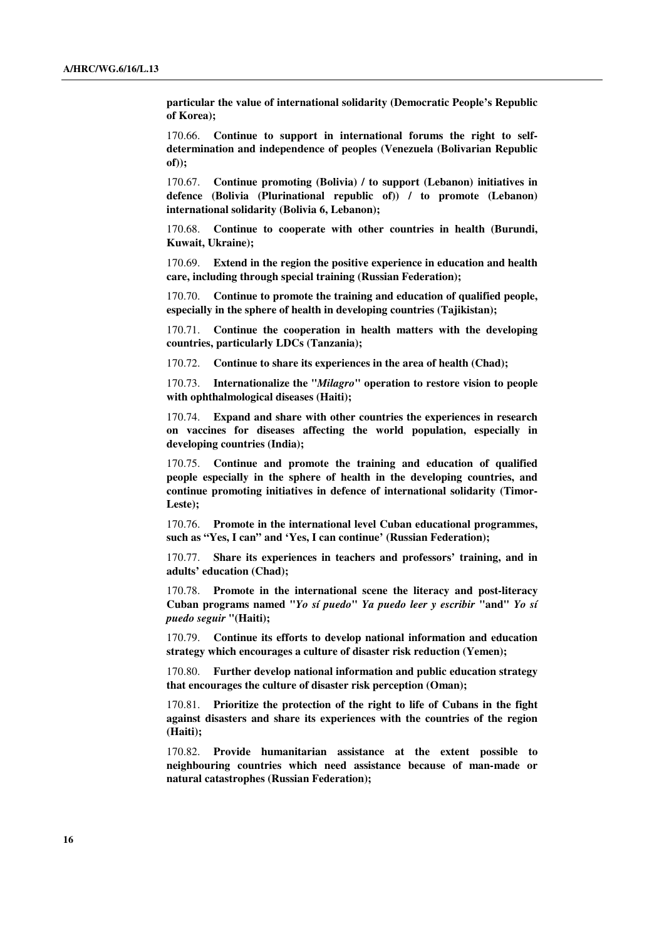**particular the value of international solidarity (Democratic People's Republic of Korea);** 

170.66. **Continue to support in international forums the right to selfdetermination and independence of peoples (Venezuela (Bolivarian Republic of));** 

170.67. **Continue promoting (Bolivia) / to support (Lebanon) initiatives in defence (Bolivia (Plurinational republic of)) / to promote (Lebanon) international solidarity (Bolivia 6, Lebanon);** 

170.68. **Continue to cooperate with other countries in health (Burundi, Kuwait, Ukraine);** 

170.69. **Extend in the region the positive experience in education and health care, including through special training (Russian Federation);** 

170.70. **Continue to promote the training and education of qualified people, especially in the sphere of health in developing countries (Tajikistan);** 

170.71. **Continue the cooperation in health matters with the developing countries, particularly LDCs (Tanzania);** 

170.72. **Continue to share its experiences in the area of health (Chad);** 

170.73. **Internationalize the "***Milagro***" operation to restore vision to people with ophthalmological diseases (Haiti);** 

170.74. **Expand and share with other countries the experiences in research on vaccines for diseases affecting the world population, especially in developing countries (India);** 

170.75. **Continue and promote the training and education of qualified people especially in the sphere of health in the developing countries, and continue promoting initiatives in defence of international solidarity (Timor-Leste);** 

170.76. **Promote in the international level Cuban educational programmes, such as "Yes, I can" and 'Yes, I can continue' (Russian Federation);** 

170.77. **Share its experiences in teachers and professors' training, and in adults' education (Chad);** 

170.78. **Promote in the international scene the literacy and post-literacy Cuban programs named "***Yo sí puedo***"** *Ya puedo leer y escribir* **"and"** *Yo sí puedo seguir* **"(Haiti);** 

170.79. **Continue its efforts to develop national information and education strategy which encourages a culture of disaster risk reduction (Yemen);** 

170.80. **Further develop national information and public education strategy that encourages the culture of disaster risk perception (Oman);** 

170.81. **Prioritize the protection of the right to life of Cubans in the fight against disasters and share its experiences with the countries of the region (Haiti);** 

170.82. **Provide humanitarian assistance at the extent possible to neighbouring countries which need assistance because of man-made or natural catastrophes (Russian Federation);**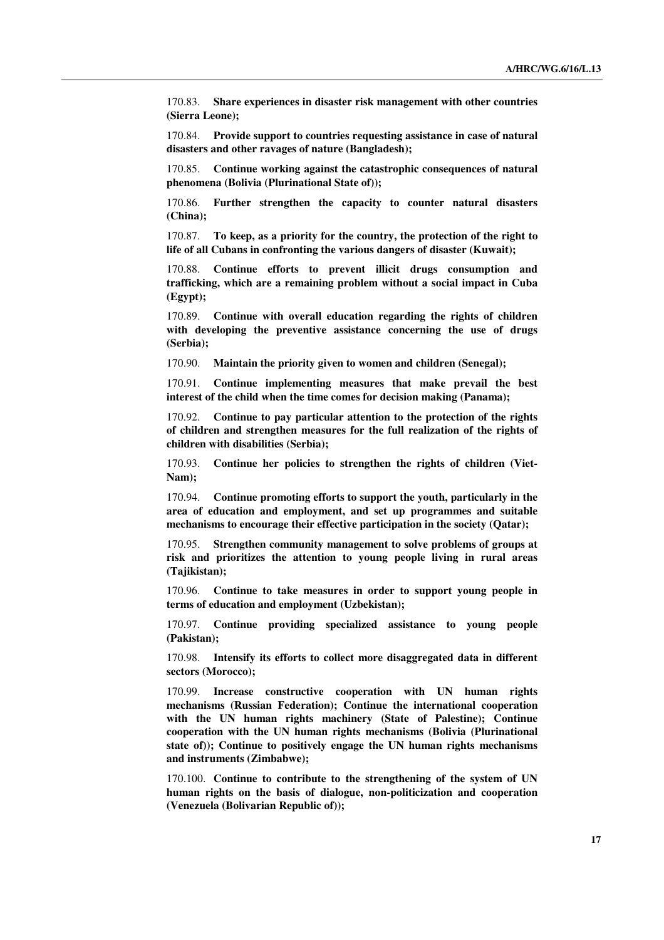170.83. **Share experiences in disaster risk management with other countries (Sierra Leone);** 

170.84. **Provide support to countries requesting assistance in case of natural disasters and other ravages of nature (Bangladesh);**

170.85. **Continue working against the catastrophic consequences of natural phenomena (Bolivia (Plurinational State of));** 

170.86. **Further strengthen the capacity to counter natural disasters (China);** 

170.87. **To keep, as a priority for the country, the protection of the right to life of all Cubans in confronting the various dangers of disaster (Kuwait);** 

170.88. **Continue efforts to prevent illicit drugs consumption and trafficking, which are a remaining problem without a social impact in Cuba (Egypt);** 

170.89. **Continue with overall education regarding the rights of children with developing the preventive assistance concerning the use of drugs (Serbia);** 

170.90. **Maintain the priority given to women and children (Senegal);** 

170.91. **Continue implementing measures that make prevail the best interest of the child when the time comes for decision making (Panama);** 

170.92. **Continue to pay particular attention to the protection of the rights of children and strengthen measures for the full realization of the rights of children with disabilities (Serbia);** 

170.93. **Continue her policies to strengthen the rights of children (Viet-Nam);** 

170.94. **Continue promoting efforts to support the youth, particularly in the area of education and employment, and set up programmes and suitable mechanisms to encourage their effective participation in the society (Qatar);** 

170.95. **Strengthen community management to solve problems of groups at risk and prioritizes the attention to young people living in rural areas (Tajikistan);** 

170.96. **Continue to take measures in order to support young people in terms of education and employment (Uzbekistan);** 

170.97. **Continue providing specialized assistance to young people (Pakistan);** 

170.98. **Intensify its efforts to collect more disaggregated data in different sectors (Morocco);** 

170.99. **Increase constructive cooperation with UN human rights mechanisms (Russian Federation); Continue the international cooperation with the UN human rights machinery (State of Palestine); Continue cooperation with the UN human rights mechanisms (Bolivia (Plurinational state of)); Continue to positively engage the UN human rights mechanisms and instruments (Zimbabwe);** 

170.100. **Continue to contribute to the strengthening of the system of UN human rights on the basis of dialogue, non-politicization and cooperation (Venezuela (Bolivarian Republic of));**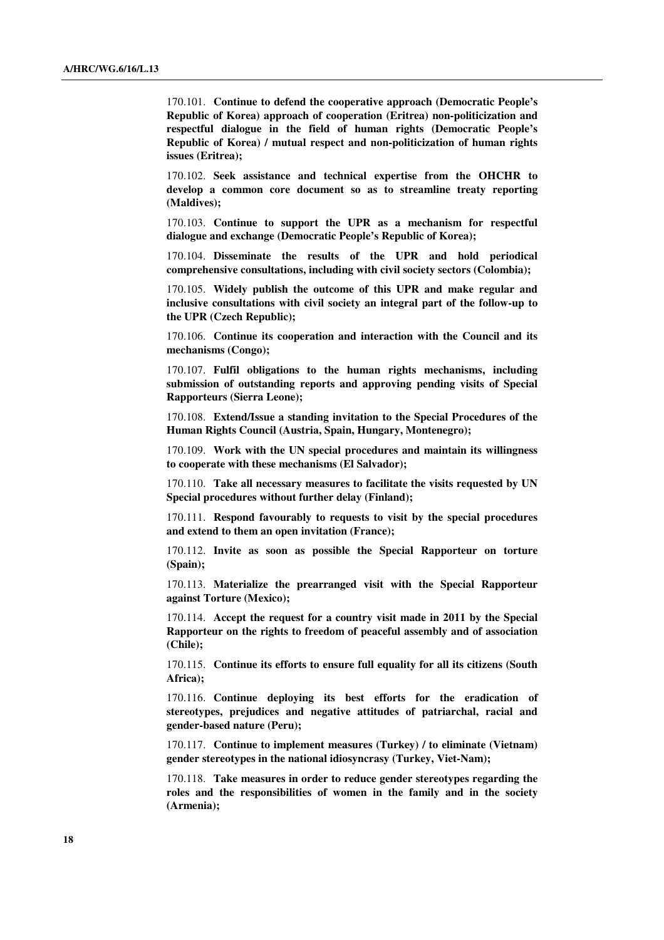170.101. **Continue to defend the cooperative approach (Democratic People's Republic of Korea) approach of cooperation (Eritrea) non-politicization and respectful dialogue in the field of human rights (Democratic People's Republic of Korea) / mutual respect and non-politicization of human rights issues (Eritrea);** 

170.102. **Seek assistance and technical expertise from the OHCHR to develop a common core document so as to streamline treaty reporting (Maldives);** 

170.103. **Continue to support the UPR as a mechanism for respectful dialogue and exchange (Democratic People's Republic of Korea);** 

170.104. **Disseminate the results of the UPR and hold periodical comprehensive consultations, including with civil society sectors (Colombia);** 

170.105. **Widely publish the outcome of this UPR and make regular and inclusive consultations with civil society an integral part of the follow-up to the UPR (Czech Republic);** 

170.106. **Continue its cooperation and interaction with the Council and its mechanisms (Congo);** 

170.107. **Fulfil obligations to the human rights mechanisms, including submission of outstanding reports and approving pending visits of Special Rapporteurs (Sierra Leone);** 

170.108. **Extend/Issue a standing invitation to the Special Procedures of the Human Rights Council (Austria, Spain, Hungary, Montenegro);** 

170.109. **Work with the UN special procedures and maintain its willingness to cooperate with these mechanisms (El Salvador);** 

170.110. **Take all necessary measures to facilitate the visits requested by UN Special procedures without further delay (Finland);**

170.111. **Respond favourably to requests to visit by the special procedures and extend to them an open invitation (France);** 

170.112. **Invite as soon as possible the Special Rapporteur on torture (Spain);** 

170.113. **Materialize the prearranged visit with the Special Rapporteur against Torture (Mexico);** 

170.114. **Accept the request for a country visit made in 2011 by the Special Rapporteur on the rights to freedom of peaceful assembly and of association (Chile);** 

170.115. **Continue its efforts to ensure full equality for all its citizens (South Africa);** 

170.116. **Continue deploying its best efforts for the eradication of stereotypes, prejudices and negative attitudes of patriarchal, racial and gender-based nature (Peru);** 

170.117. **Continue to implement measures (Turkey) / to eliminate (Vietnam) gender stereotypes in the national idiosyncrasy (Turkey, Viet-Nam);** 

170.118. **Take measures in order to reduce gender stereotypes regarding the roles and the responsibilities of women in the family and in the society (Armenia);**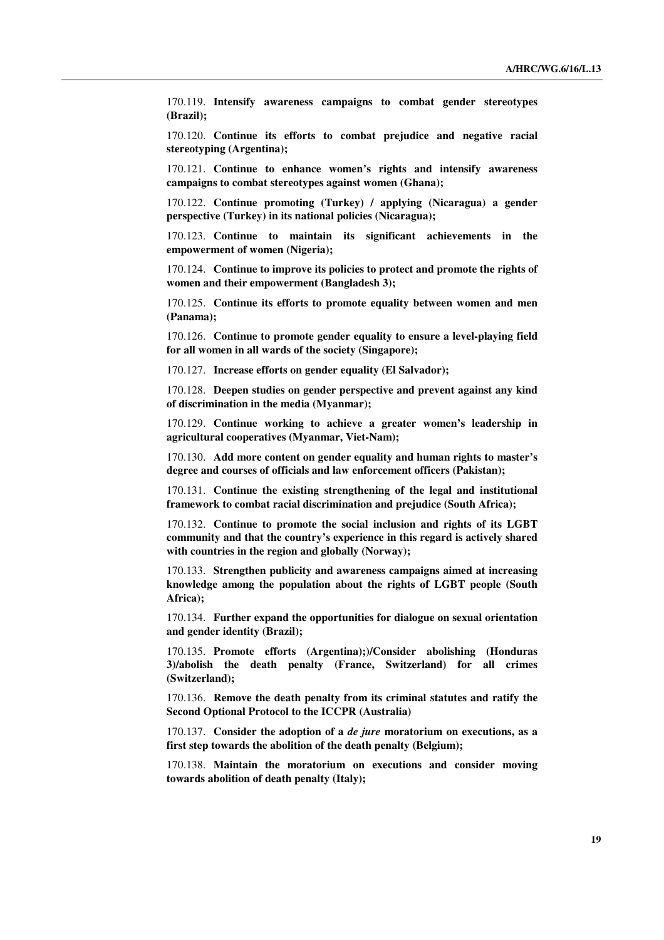170.119. **Intensify awareness campaigns to combat gender stereotypes (Brazil);** 

170.120. **Continue its efforts to combat prejudice and negative racial stereotyping (Argentina);** 

170.121. **Continue to enhance women's rights and intensify awareness campaigns to combat stereotypes against women (Ghana);** 

170.122. **Continue promoting (Turkey) / applying (Nicaragua) a gender perspective (Turkey) in its national policies (Nicaragua);** 

170.123. **Continue to maintain its significant achievements in the empowerment of women (Nigeria);** 

170.124. **Continue to improve its policies to protect and promote the rights of women and their empowerment (Bangladesh 3);** 

170.125. **Continue its efforts to promote equality between women and men (Panama);** 

170.126. **Continue to promote gender equality to ensure a level-playing field for all women in all wards of the society (Singapore);** 

170.127. **Increase efforts on gender equality (El Salvador);**

170.128. **Deepen studies on gender perspective and prevent against any kind of discrimination in the media (Myanmar);** 

170.129. **Continue working to achieve a greater women's leadership in agricultural cooperatives (Myanmar, Viet-Nam);** 

170.130. **Add more content on gender equality and human rights to master's degree and courses of officials and law enforcement officers (Pakistan);** 

170.131. **Continue the existing strengthening of the legal and institutional framework to combat racial discrimination and prejudice (South Africa);** 

170.132. **Continue to promote the social inclusion and rights of its LGBT community and that the country's experience in this regard is actively shared with countries in the region and globally (Norway);**

170.133. **Strengthen publicity and awareness campaigns aimed at increasing knowledge among the population about the rights of LGBT people (South Africa);** 

170.134. **Further expand the opportunities for dialogue on sexual orientation and gender identity (Brazil);** 

170.135. **Promote efforts (Argentina);)/Consider abolishing (Honduras 3)/abolish the death penalty (France, Switzerland) for all crimes (Switzerland);** 

170.136. **Remove the death penalty from its criminal statutes and ratify the Second Optional Protocol to the ICCPR (Australia)** 

170.137. **Consider the adoption of a** *de jure* **moratorium on executions, as a first step towards the abolition of the death penalty (Belgium);** 

170.138. **Maintain the moratorium on executions and consider moving towards abolition of death penalty (Italy);**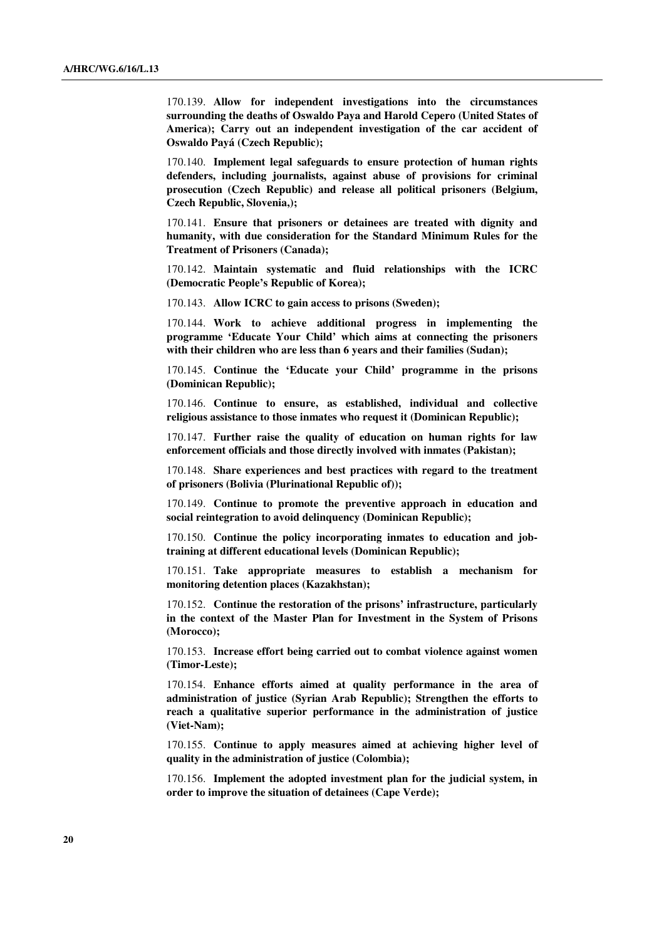170.139. **Allow for independent investigations into the circumstances surrounding the deaths of Oswaldo Paya and Harold Cepero (United States of America); Carry out an independent investigation of the car accident of Oswaldo Payá (Czech Republic);** 

170.140. **Implement legal safeguards to ensure protection of human rights defenders, including journalists, against abuse of provisions for criminal prosecution (Czech Republic) and release all political prisoners (Belgium, Czech Republic, Slovenia,);** 

170.141. **Ensure that prisoners or detainees are treated with dignity and humanity, with due consideration for the Standard Minimum Rules for the Treatment of Prisoners (Canada);** 

170.142. **Maintain systematic and fluid relationships with the ICRC (Democratic People's Republic of Korea);** 

170.143. **Allow ICRC to gain access to prisons (Sweden);** 

170.144. **Work to achieve additional progress in implementing the programme 'Educate Your Child' which aims at connecting the prisoners with their children who are less than 6 years and their families (Sudan);** 

170.145. **Continue the 'Educate your Child' programme in the prisons (Dominican Republic);** 

170.146. **Continue to ensure, as established, individual and collective religious assistance to those inmates who request it (Dominican Republic);** 

170.147. **Further raise the quality of education on human rights for law enforcement officials and those directly involved with inmates (Pakistan);** 

170.148. **Share experiences and best practices with regard to the treatment of prisoners (Bolivia (Plurinational Republic of));**

170.149. **Continue to promote the preventive approach in education and social reintegration to avoid delinquency (Dominican Republic);** 

170.150. **Continue the policy incorporating inmates to education and jobtraining at different educational levels (Dominican Republic);** 

170.151. **Take appropriate measures to establish a mechanism for monitoring detention places (Kazakhstan);** 

170.152. **Continue the restoration of the prisons' infrastructure, particularly in the context of the Master Plan for Investment in the System of Prisons (Morocco);** 

170.153. **Increase effort being carried out to combat violence against women (Timor-Leste);** 

170.154. **Enhance efforts aimed at quality performance in the area of administration of justice (Syrian Arab Republic); Strengthen the efforts to reach a qualitative superior performance in the administration of justice (Viet-Nam);** 

170.155. **Continue to apply measures aimed at achieving higher level of quality in the administration of justice (Colombia);** 

170.156. **Implement the adopted investment plan for the judicial system, in order to improve the situation of detainees (Cape Verde);**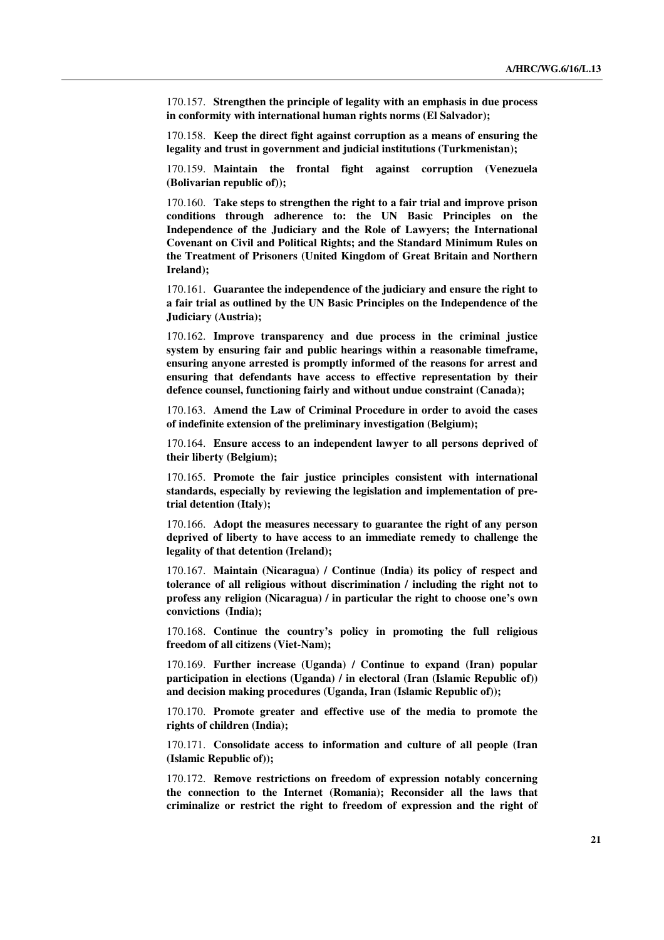170.157. **Strengthen the principle of legality with an emphasis in due process in conformity with international human rights norms (El Salvador);** 

170.158. **Keep the direct fight against corruption as a means of ensuring the legality and trust in government and judicial institutions (Turkmenistan);** 

170.159. **Maintain the frontal fight against corruption (Venezuela (Bolivarian republic of));** 

170.160. **Take steps to strengthen the right to a fair trial and improve prison conditions through adherence to: the UN Basic Principles on the Independence of the Judiciary and the Role of Lawyers; the International Covenant on Civil and Political Rights; and the Standard Minimum Rules on the Treatment of Prisoners (United Kingdom of Great Britain and Northern Ireland);** 

170.161. **Guarantee the independence of the judiciary and ensure the right to a fair trial as outlined by the UN Basic Principles on the Independence of the Judiciary (Austria);** 

170.162. **Improve transparency and due process in the criminal justice system by ensuring fair and public hearings within a reasonable timeframe, ensuring anyone arrested is promptly informed of the reasons for arrest and ensuring that defendants have access to effective representation by their defence counsel, functioning fairly and without undue constraint (Canada);** 

170.163. **Amend the Law of Criminal Procedure in order to avoid the cases of indefinite extension of the preliminary investigation (Belgium);** 

170.164. **Ensure access to an independent lawyer to all persons deprived of their liberty (Belgium);** 

170.165. **Promote the fair justice principles consistent with international standards, especially by reviewing the legislation and implementation of pretrial detention (Italy);** 

170.166. **Adopt the measures necessary to guarantee the right of any person deprived of liberty to have access to an immediate remedy to challenge the legality of that detention (Ireland);** 

170.167. **Maintain (Nicaragua) / Continue (India) its policy of respect and tolerance of all religious without discrimination / including the right not to profess any religion (Nicaragua) / in particular the right to choose one's own convictions (India);** 

170.168. **Continue the country's policy in promoting the full religious freedom of all citizens (Viet-Nam);** 

170.169. **Further increase (Uganda) / Continue to expand (Iran) popular participation in elections (Uganda) / in electoral (Iran (Islamic Republic of)) and decision making procedures (Uganda, Iran (Islamic Republic of));** 

170.170. **Promote greater and effective use of the media to promote the rights of children (India);** 

170.171. **Consolidate access to information and culture of all people (Iran (Islamic Republic of));** 

170.172. **Remove restrictions on freedom of expression notably concerning the connection to the Internet (Romania); Reconsider all the laws that criminalize or restrict the right to freedom of expression and the right of**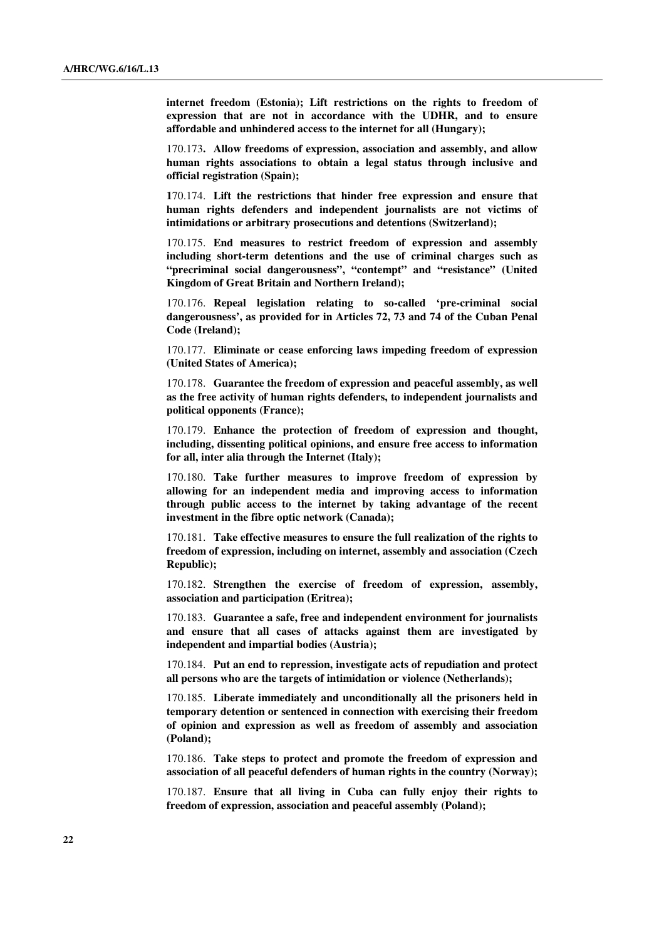**internet freedom (Estonia); Lift restrictions on the rights to freedom of expression that are not in accordance with the UDHR, and to ensure affordable and unhindered access to the internet for all (Hungary);** 

170.173**. Allow freedoms of expression, association and assembly, and allow human rights associations to obtain a legal status through inclusive and official registration (Spain);** 

**1**70.174. **Lift the restrictions that hinder free expression and ensure that human rights defenders and independent journalists are not victims of intimidations or arbitrary prosecutions and detentions (Switzerland);** 

170.175. **End measures to restrict freedom of expression and assembly including short-term detentions and the use of criminal charges such as "precriminal social dangerousness", "contempt" and "resistance" (United Kingdom of Great Britain and Northern Ireland);** 

170.176. **Repeal legislation relating to so-called 'pre-criminal social dangerousness', as provided for in Articles 72, 73 and 74 of the Cuban Penal Code (Ireland);** 

170.177. **Eliminate or cease enforcing laws impeding freedom of expression (United States of America);** 

170.178. **Guarantee the freedom of expression and peaceful assembly, as well as the free activity of human rights defenders, to independent journalists and political opponents (France);** 

170.179. **Enhance the protection of freedom of expression and thought, including, dissenting political opinions, and ensure free access to information for all, inter alia through the Internet (Italy);** 

170.180. **Take further measures to improve freedom of expression by allowing for an independent media and improving access to information through public access to the internet by taking advantage of the recent investment in the fibre optic network (Canada);** 

170.181. **Take effective measures to ensure the full realization of the rights to freedom of expression, including on internet, assembly and association (Czech Republic);** 

170.182. **Strengthen the exercise of freedom of expression, assembly, association and participation (Eritrea);** 

170.183. **Guarantee a safe, free and independent environment for journalists and ensure that all cases of attacks against them are investigated by independent and impartial bodies (Austria);** 

170.184. **Put an end to repression, investigate acts of repudiation and protect all persons who are the targets of intimidation or violence (Netherlands);** 

170.185. **Liberate immediately and unconditionally all the prisoners held in temporary detention or sentenced in connection with exercising their freedom of opinion and expression as well as freedom of assembly and association (Poland);** 

170.186. **Take steps to protect and promote the freedom of expression and association of all peaceful defenders of human rights in the country (Norway);** 

170.187. **Ensure that all living in Cuba can fully enjoy their rights to freedom of expression, association and peaceful assembly (Poland);**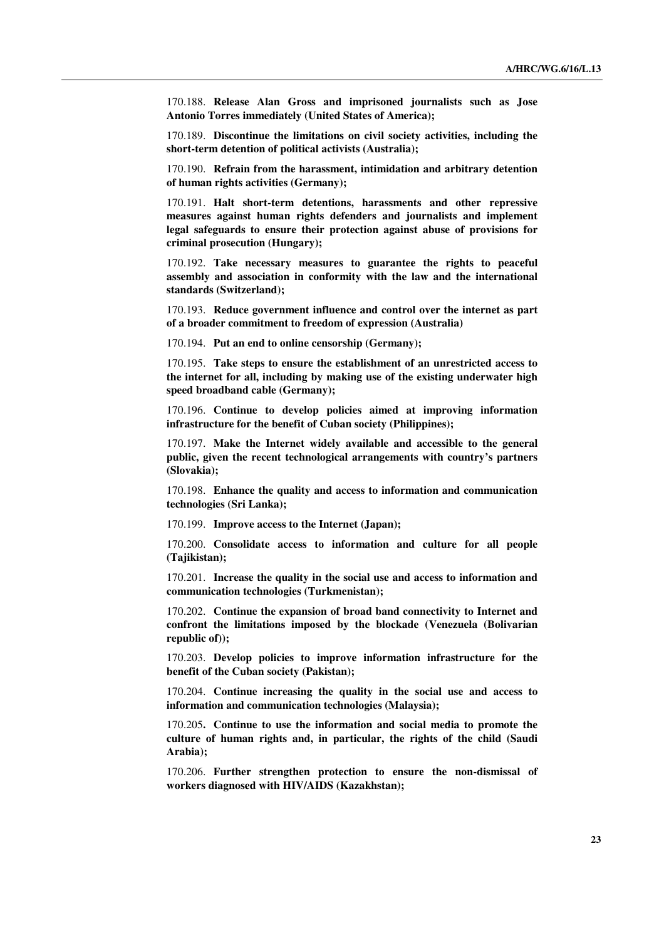170.188. **Release Alan Gross and imprisoned journalists such as Jose Antonio Torres immediately (United States of America);** 

170.189. **Discontinue the limitations on civil society activities, including the short-term detention of political activists (Australia);** 

170.190. **Refrain from the harassment, intimidation and arbitrary detention of human rights activities (Germany);** 

170.191. **Halt short-term detentions, harassments and other repressive measures against human rights defenders and journalists and implement legal safeguards to ensure their protection against abuse of provisions for criminal prosecution (Hungary);** 

170.192. **Take necessary measures to guarantee the rights to peaceful assembly and association in conformity with the law and the international standards (Switzerland);** 

170.193. **Reduce government influence and control over the internet as part of a broader commitment to freedom of expression (Australia)** 

170.194. **Put an end to online censorship (Germany);** 

170.195. **Take steps to ensure the establishment of an unrestricted access to the internet for all, including by making use of the existing underwater high speed broadband cable (Germany);** 

170.196. **Continue to develop policies aimed at improving information infrastructure for the benefit of Cuban society (Philippines);** 

170.197. **Make the Internet widely available and accessible to the general public, given the recent technological arrangements with country's partners (Slovakia);** 

170.198. **Enhance the quality and access to information and communication technologies (Sri Lanka);** 

170.199. **Improve access to the Internet (Japan);** 

170.200. **Consolidate access to information and culture for all people (Tajikistan);** 

170.201. **Increase the quality in the social use and access to information and communication technologies (Turkmenistan);** 

170.202. **Continue the expansion of broad band connectivity to Internet and confront the limitations imposed by the blockade (Venezuela (Bolivarian republic of));** 

170.203. **Develop policies to improve information infrastructure for the benefit of the Cuban society (Pakistan);** 

170.204. **Continue increasing the quality in the social use and access to information and communication technologies (Malaysia);** 

170.205**. Continue to use the information and social media to promote the culture of human rights and, in particular, the rights of the child (Saudi Arabia);** 

170.206. **Further strengthen protection to ensure the non-dismissal of workers diagnosed with HIV/AIDS (Kazakhstan);**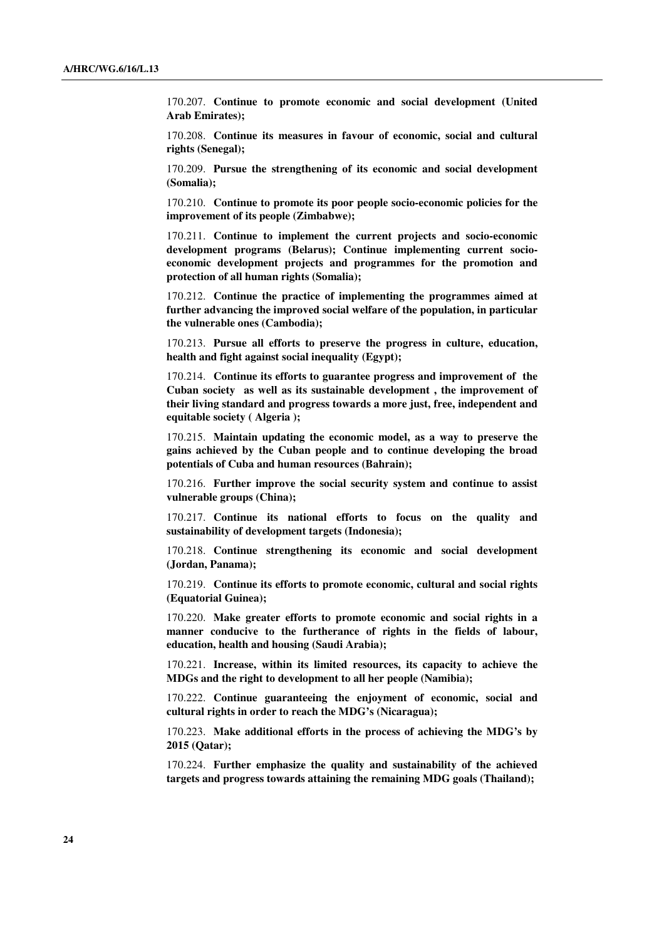170.207. **Continue to promote economic and social development (United Arab Emirates);** 

170.208. **Continue its measures in favour of economic, social and cultural rights (Senegal);** 

170.209. **Pursue the strengthening of its economic and social development (Somalia);** 

170.210. **Continue to promote its poor people socio-economic policies for the improvement of its people (Zimbabwe);** 

170.211. **Continue to implement the current projects and socio-economic development programs (Belarus); Continue implementing current socioeconomic development projects and programmes for the promotion and protection of all human rights (Somalia);** 

170.212. **Continue the practice of implementing the programmes aimed at further advancing the improved social welfare of the population, in particular the vulnerable ones (Cambodia);** 

170.213. **Pursue all efforts to preserve the progress in culture, education, health and fight against social inequality (Egypt);**

170.214. **Continue its efforts to guarantee progress and improvement of the Cuban society as well as its sustainable development , the improvement of their living standard and progress towards a more just, free, independent and equitable society ( Algeria );** 

170.215. **Maintain updating the economic model, as a way to preserve the gains achieved by the Cuban people and to continue developing the broad potentials of Cuba and human resources (Bahrain);** 

170.216. **Further improve the social security system and continue to assist vulnerable groups (China);** 

170.217. **Continue its national efforts to focus on the quality and sustainability of development targets (Indonesia);** 

170.218. **Continue strengthening its economic and social development (Jordan, Panama);** 

170.219. **Continue its efforts to promote economic, cultural and social rights (Equatorial Guinea);** 

170.220. **Make greater efforts to promote economic and social rights in a manner conducive to the furtherance of rights in the fields of labour, education, health and housing (Saudi Arabia);** 

170.221. **Increase, within its limited resources, its capacity to achieve the MDGs and the right to development to all her people (Namibia);** 

170.222. **Continue guaranteeing the enjoyment of economic, social and cultural rights in order to reach the MDG's (Nicaragua);** 

170.223. **Make additional efforts in the process of achieving the MDG's by 2015 (Qatar);** 

170.224. **Further emphasize the quality and sustainability of the achieved targets and progress towards attaining the remaining MDG goals (Thailand);**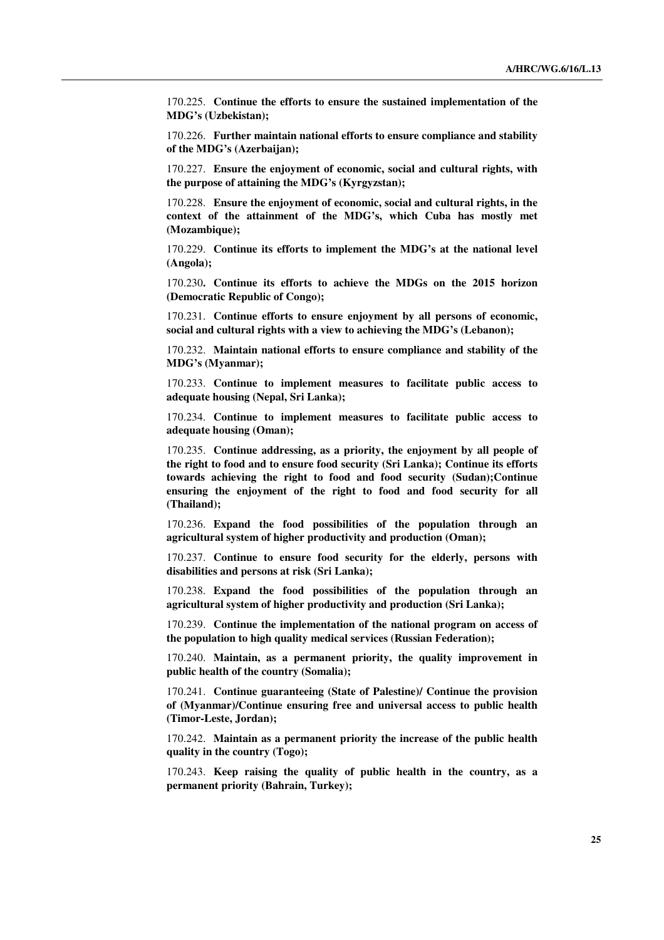170.225. **Continue the efforts to ensure the sustained implementation of the MDG's (Uzbekistan);** 

170.226. **Further maintain national efforts to ensure compliance and stability of the MDG's (Azerbaijan);** 

170.227. **Ensure the enjoyment of economic, social and cultural rights, with the purpose of attaining the MDG's (Kyrgyzstan);** 

170.228. **Ensure the enjoyment of economic, social and cultural rights, in the context of the attainment of the MDG's, which Cuba has mostly met (Mozambique);** 

170.229. **Continue its efforts to implement the MDG's at the national level (Angola);** 

170.230**. Continue its efforts to achieve the MDGs on the 2015 horizon (Democratic Republic of Congo);** 

170.231. **Continue efforts to ensure enjoyment by all persons of economic, social and cultural rights with a view to achieving the MDG's (Lebanon);** 

170.232. **Maintain national efforts to ensure compliance and stability of the MDG's (Myanmar);** 

170.233. **Continue to implement measures to facilitate public access to adequate housing (Nepal, Sri Lanka);** 

170.234. **Continue to implement measures to facilitate public access to adequate housing (Oman);** 

170.235. **Continue addressing, as a priority, the enjoyment by all people of the right to food and to ensure food security (Sri Lanka); Continue its efforts towards achieving the right to food and food security (Sudan);Continue ensuring the enjoyment of the right to food and food security for all (Thailand);** 

170.236. **Expand the food possibilities of the population through an agricultural system of higher productivity and production (Oman);** 

170.237. **Continue to ensure food security for the elderly, persons with disabilities and persons at risk (Sri Lanka);** 

170.238. **Expand the food possibilities of the population through an agricultural system of higher productivity and production (Sri Lanka);** 

170.239. **Continue the implementation of the national program on access of the population to high quality medical services (Russian Federation);** 

170.240. **Maintain, as a permanent priority, the quality improvement in public health of the country (Somalia);** 

170.241. **Continue guaranteeing (State of Palestine)/ Continue the provision of (Myanmar)/Continue ensuring free and universal access to public health (Timor-Leste, Jordan);** 

170.242. **Maintain as a permanent priority the increase of the public health quality in the country (Togo);** 

170.243. **Keep raising the quality of public health in the country, as a permanent priority (Bahrain, Turkey);**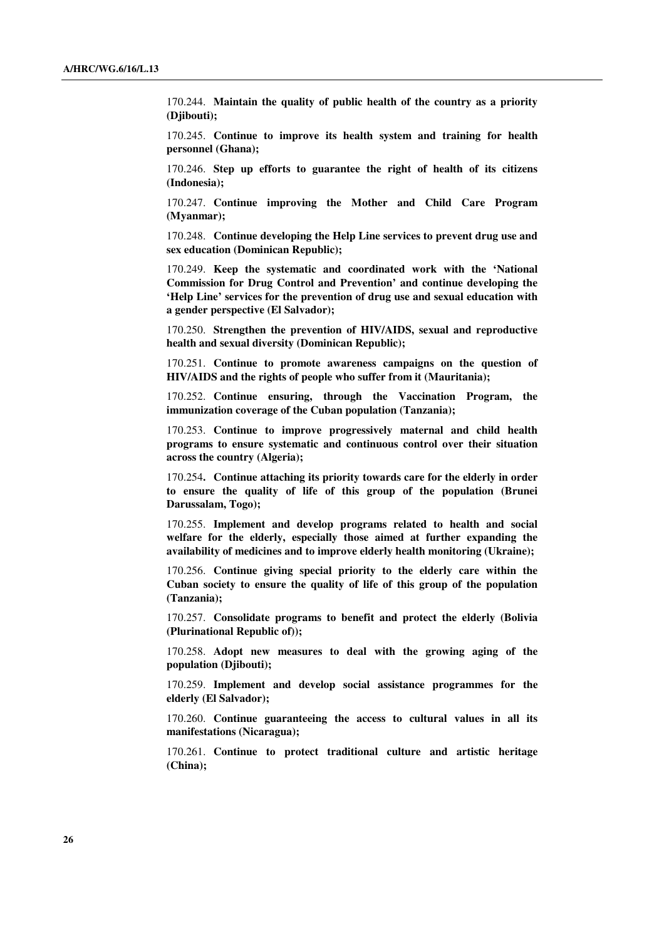170.244. **Maintain the quality of public health of the country as a priority (Djibouti);** 

170.245. **Continue to improve its health system and training for health personnel (Ghana);** 

170.246. **Step up efforts to guarantee the right of health of its citizens (Indonesia);** 

170.247. **Continue improving the Mother and Child Care Program (Myanmar);** 

170.248. **Continue developing the Help Line services to prevent drug use and sex education (Dominican Republic);** 

170.249. **Keep the systematic and coordinated work with the 'National Commission for Drug Control and Prevention' and continue developing the 'Help Line' services for the prevention of drug use and sexual education with a gender perspective (El Salvador);** 

170.250. **Strengthen the prevention of HIV/AIDS, sexual and reproductive health and sexual diversity (Dominican Republic);** 

170.251. **Continue to promote awareness campaigns on the question of HIV/AIDS and the rights of people who suffer from it (Mauritania);** 

170.252. **Continue ensuring, through the Vaccination Program, the immunization coverage of the Cuban population (Tanzania);** 

170.253. **Continue to improve progressively maternal and child health programs to ensure systematic and continuous control over their situation across the country (Algeria);** 

170.254**. Continue attaching its priority towards care for the elderly in order to ensure the quality of life of this group of the population (Brunei Darussalam, Togo);** 

170.255. **Implement and develop programs related to health and social welfare for the elderly, especially those aimed at further expanding the availability of medicines and to improve elderly health monitoring (Ukraine);** 

170.256. **Continue giving special priority to the elderly care within the Cuban society to ensure the quality of life of this group of the population (Tanzania);** 

170.257. **Consolidate programs to benefit and protect the elderly (Bolivia (Plurinational Republic of));** 

170.258. **Adopt new measures to deal with the growing aging of the population (Djibouti);** 

170.259. **Implement and develop social assistance programmes for the elderly (El Salvador);** 

170.260. **Continue guaranteeing the access to cultural values in all its manifestations (Nicaragua);** 

170.261. **Continue to protect traditional culture and artistic heritage (China);**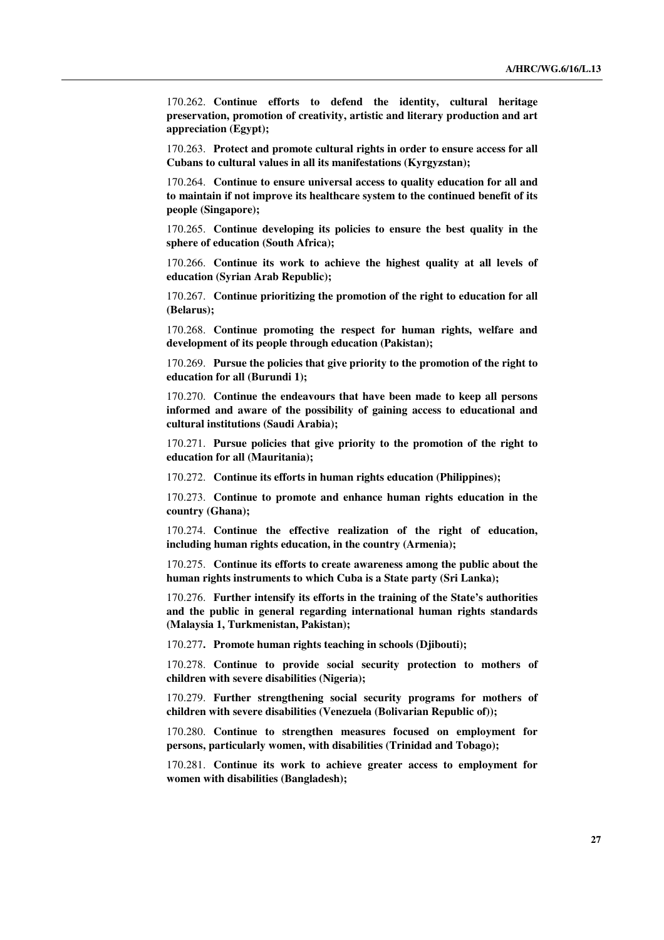170.262. **Continue efforts to defend the identity, cultural heritage preservation, promotion of creativity, artistic and literary production and art appreciation (Egypt);** 

170.263. **Protect and promote cultural rights in order to ensure access for all Cubans to cultural values in all its manifestations (Kyrgyzstan);** 

170.264. **Continue to ensure universal access to quality education for all and to maintain if not improve its healthcare system to the continued benefit of its people (Singapore);** 

170.265. **Continue developing its policies to ensure the best quality in the sphere of education (South Africa);** 

170.266. **Continue its work to achieve the highest quality at all levels of education (Syrian Arab Republic);** 

170.267. **Continue prioritizing the promotion of the right to education for all (Belarus);** 

170.268. **Continue promoting the respect for human rights, welfare and development of its people through education (Pakistan);** 

170.269. **Pursue the policies that give priority to the promotion of the right to education for all (Burundi 1);** 

170.270. **Continue the endeavours that have been made to keep all persons informed and aware of the possibility of gaining access to educational and cultural institutions (Saudi Arabia);** 

170.271. **Pursue policies that give priority to the promotion of the right to education for all (Mauritania);** 

170.272. **Continue its efforts in human rights education (Philippines);** 

170.273. **Continue to promote and enhance human rights education in the country (Ghana);** 

170.274. **Continue the effective realization of the right of education, including human rights education, in the country (Armenia);** 

170.275. **Continue its efforts to create awareness among the public about the human rights instruments to which Cuba is a State party (Sri Lanka);** 

170.276. **Further intensify its efforts in the training of the State's authorities and the public in general regarding international human rights standards (Malaysia 1, Turkmenistan, Pakistan);** 

170.277**. Promote human rights teaching in schools (Djibouti);** 

170.278. **Continue to provide social security protection to mothers of children with severe disabilities (Nigeria);** 

170.279. **Further strengthening social security programs for mothers of children with severe disabilities (Venezuela (Bolivarian Republic of));** 

170.280. **Continue to strengthen measures focused on employment for persons, particularly women, with disabilities (Trinidad and Tobago);** 

170.281. **Continue its work to achieve greater access to employment for women with disabilities (Bangladesh);**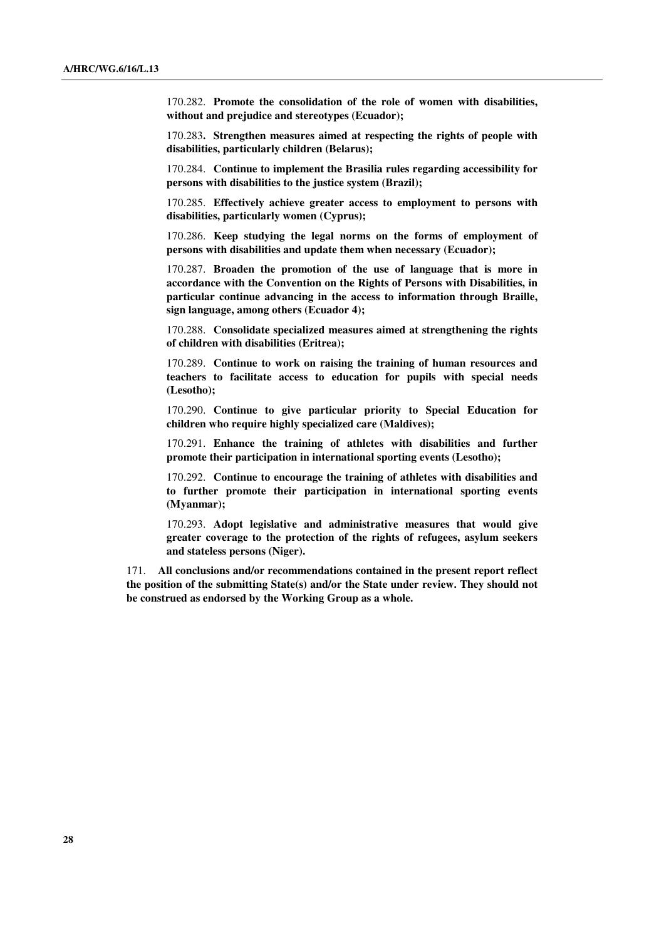170.282. **Promote the consolidation of the role of women with disabilities, without and prejudice and stereotypes (Ecuador);** 

170.283**. Strengthen measures aimed at respecting the rights of people with disabilities, particularly children (Belarus);** 

170.284. **Continue to implement the Brasilia rules regarding accessibility for persons with disabilities to the justice system (Brazil);** 

170.285. **Effectively achieve greater access to employment to persons with disabilities, particularly women (Cyprus);** 

170.286. **Keep studying the legal norms on the forms of employment of persons with disabilities and update them when necessary (Ecuador);** 

170.287. **Broaden the promotion of the use of language that is more in accordance with the Convention on the Rights of Persons with Disabilities, in particular continue advancing in the access to information through Braille, sign language, among others (Ecuador 4);** 

170.288. **Consolidate specialized measures aimed at strengthening the rights of children with disabilities (Eritrea);** 

170.289. **Continue to work on raising the training of human resources and teachers to facilitate access to education for pupils with special needs (Lesotho);** 

170.290. **Continue to give particular priority to Special Education for children who require highly specialized care (Maldives);** 

170.291. **Enhance the training of athletes with disabilities and further promote their participation in international sporting events (Lesotho);** 

170.292. **Continue to encourage the training of athletes with disabilities and to further promote their participation in international sporting events (Myanmar);** 

170.293. **Adopt legislative and administrative measures that would give greater coverage to the protection of the rights of refugees, asylum seekers and stateless persons (Niger).**

171. **All conclusions and/or recommendations contained in the present report reflect the position of the submitting State(s) and/or the State under review. They should not be construed as endorsed by the Working Group as a whole.**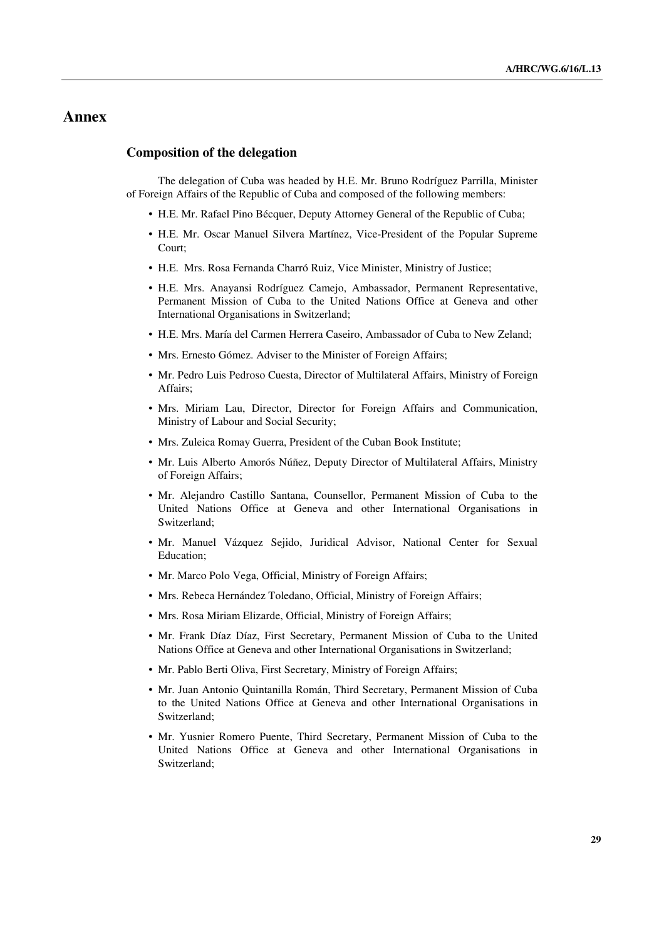## **Annex**

#### **Composition of the delegation**

The delegation of Cuba was headed by H.E. Mr. Bruno Rodríguez Parrilla, Minister of Foreign Affairs of the Republic of Cuba and composed of the following members:

- H.E. Mr. Rafael Pino Bécquer, Deputy Attorney General of the Republic of Cuba;
- H.E. Mr. Oscar Manuel Silvera Martínez, Vice-President of the Popular Supreme Court;
- H.E. Mrs. Rosa Fernanda Charró Ruiz, Vice Minister, Ministry of Justice;
- H.E. Mrs. Anayansi Rodríguez Camejo, Ambassador, Permanent Representative, Permanent Mission of Cuba to the United Nations Office at Geneva and other International Organisations in Switzerland;
- H.E. Mrs. María del Carmen Herrera Caseiro, Ambassador of Cuba to New Zeland;
- Mrs. Ernesto Gómez. Adviser to the Minister of Foreign Affairs:
- Mr. Pedro Luis Pedroso Cuesta, Director of Multilateral Affairs, Ministry of Foreign Affairs;
- Mrs. Miriam Lau, Director, Director for Foreign Affairs and Communication, Ministry of Labour and Social Security;
- Mrs. Zuleica Romay Guerra, President of the Cuban Book Institute;
- Mr. Luis Alberto Amorós Núñez, Deputy Director of Multilateral Affairs, Ministry of Foreign Affairs;
- Mr. Alejandro Castillo Santana, Counsellor, Permanent Mission of Cuba to the United Nations Office at Geneva and other International Organisations in Switzerland;
- Mr. Manuel Vázquez Sejido, Juridical Advisor, National Center for Sexual Education;
- Mr. Marco Polo Vega, Official, Ministry of Foreign Affairs;
- Mrs. Rebeca Hernández Toledano, Official, Ministry of Foreign Affairs;
- Mrs. Rosa Miriam Elizarde, Official, Ministry of Foreign Affairs;
- Mr. Frank Díaz Díaz, First Secretary, Permanent Mission of Cuba to the United Nations Office at Geneva and other International Organisations in Switzerland;
- Mr. Pablo Berti Oliva, First Secretary, Ministry of Foreign Affairs;
- Mr. Juan Antonio Quintanilla Román, Third Secretary, Permanent Mission of Cuba to the United Nations Office at Geneva and other International Organisations in Switzerland;
- Mr. Yusnier Romero Puente, Third Secretary, Permanent Mission of Cuba to the United Nations Office at Geneva and other International Organisations in Switzerland;